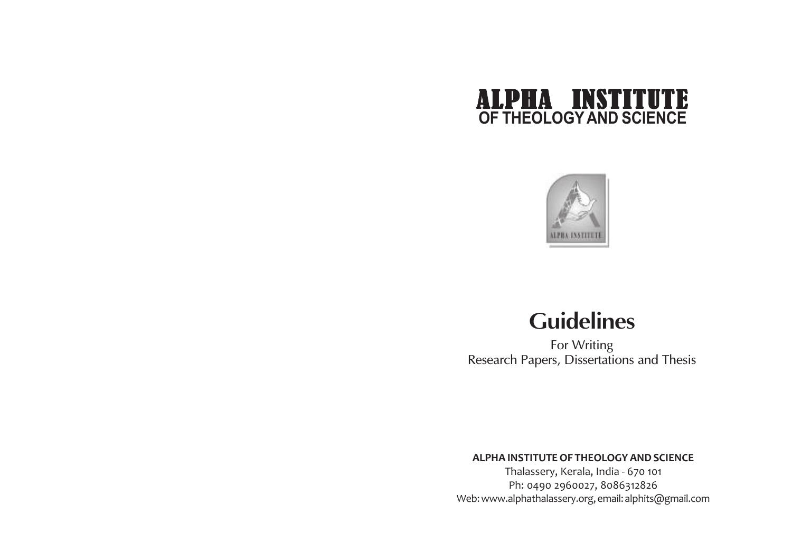



# **Guidelines**

For Writing Research Papers, Dissertations and Thesis

#### **ALPHA INSTITUTE OF THEOLOGY AND SCIENCE**

Thalassery, Kerala, India - 670 101 Ph: 0490 2960027, 8086312826 Web: www.alphathalassery.org, email: alphits@gmail.com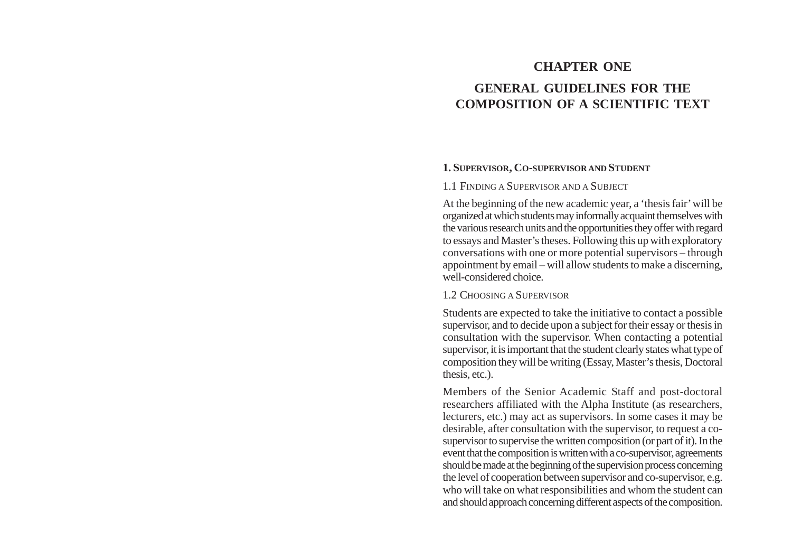# **CHAPTER ONE GENERAL GUIDELINES FOR THE COMPOSITION OF A SCIENTIFIC TEXT**

#### **1. SUPERVISOR, C<sup>O</sup>-SUPERVISOR AND STUDENT**

#### 1.1 FINDING A SUPERVISOR AND A SUBJECT

At the beginning of the new academic year, a 'thesis fair' will be organized at which students may informally acquaint themselves with the various research units and the opportunities they offer with regard to essays and Master's theses. Following this up with exploratory conversations with one or more potential supervisors – through appointment by email – will allow students to make a discerning, well-considered choice.

#### 1.2 CHOOSING A SUPERVISOR

Students are expected to take the initiative to contact a possible supervisor, and to decide upon a subject for their essay or thesis in consultation with the supervisor. When contacting a potential supervisor, it is important that the student clearly states what type of composition they will be writing (Essay, Master's thesis, Doctoral thesis, etc.).

Members of the Senior Academic Staff and post-doctoral researchers affiliated with the Alpha Institute (as researchers, lecturers, etc.) may act as supervisors. In some cases it may be desirable, after consultation with the supervisor, to request a cosupervisor to supervise the written composition (or part of it). In the event that the composition is written with a co-supervisor, agreements should be made at the beginning of the supervision process concerning the level of cooperation between supervisor and co-supervisor, e.g. who will take on what responsibilities and whom the student can and should approach concerning different aspects of the composition.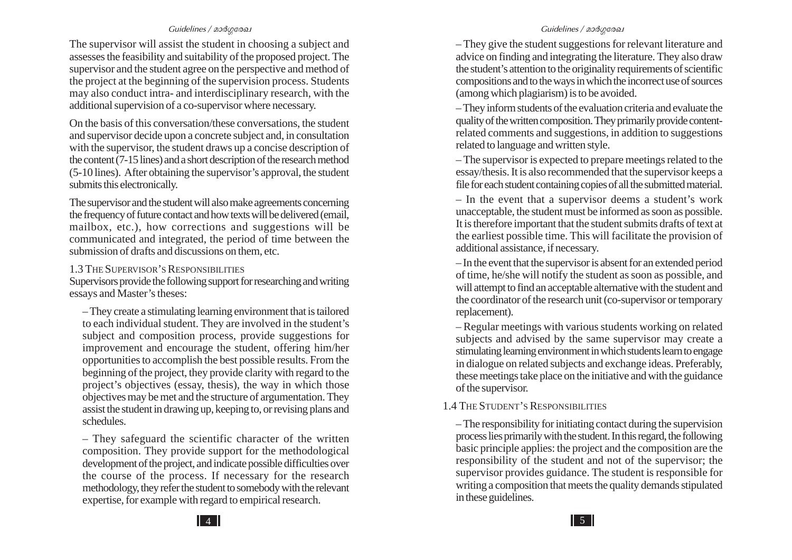The supervisor will assist the student in choosing a subject and assesses the feasibility and suitability of the proposed project. The supervisor and the student agree on the perspective and method of the project at the beginning of the supervision process. Students may also conduct intra- and interdisciplinary research, with the additional supervision of a co-supervisor where necessary.

On the basis of this conversation/these conversations, the student and supervisor decide upon a concrete subject and, in consultation with the supervisor, the student draws up a concise description of the content (7-15 lines) and a short description of the research method (5-10 lines). After obtaining the supervisor's approval, the student submits this electronically.

The supervisor and the student will also make agreements concerning the frequency of future contact and how texts will be delivered (email, mailbox, etc.), how corrections and suggestions will be communicated and integrated, the period of time between the submission of drafts and discussions on them, etc.

#### 1.3 THE SUPERVISOR'S RESPONSIBILITIES

Supervisors provide the following support for researching and writing essays and Master's theses:

– They create a stimulating learning environment that is tailored to each individual student. They are involved in the student's subject and composition process, provide suggestions for improvement and encourage the student, offering him/her opportunities to accomplish the best possible results. From the beginning of the project, they provide clarity with regard to the project's objectives (essay, thesis), the way in which those objectives may be met and the structure of argumentation. They assist the student in drawing up, keeping to, or revising plans and schedules.

– They safeguard the scientific character of the written composition. They provide support for the methodological development of the project, and indicate possible difficulties over the course of the process. If necessary for the research methodology, they refer the student to somebody with the relevant expertise, for example with regard to empirical research.

– They give the student suggestions for relevant literature and advice on finding and integrating the literature. They also draw the student's attention to the originality requirements of scientific compositions and to the ways in which the incorrect use of sources (among which plagiarism) is to be avoided.

– They inform students of the evaluation criteria and evaluate the quality of the written composition. They primarily provide contentrelated comments and suggestions, in addition to suggestions related to language and written style.

– The supervisor is expected to prepare meetings related to the essay/thesis. It is also recommended that the supervisor keeps a file for each student containing copies of all the submitted material.

– In the event that a supervisor deems a student's work unacceptable, the student must be informed as soon as possible. It is therefore important that the student submits drafts of text at the earliest possible time. This will facilitate the provision of additional assistance, if necessary.

– In the event that the supervisor is absent for an extended period of time, he/she will notify the student as soon as possible, and will attempt to find an acceptable alternative with the student and the coordinator of the research unit (co-supervisor or temporary replacement).

– Regular meetings with various students working on related subjects and advised by the same supervisor may create a stimulating learning environment in which students learn to engage in dialogue on related subjects and exchange ideas. Preferably, these meetings take place on the initiative and with the guidance of the supervisor.

#### 1.4 THE STUDENT'S RESPONSIBILITIES

– The responsibility for initiating contact during the supervision process lies primarily with the student. In this regard, the following basic principle applies: the project and the composition are the responsibility of the student and not of the supervisor; the supervisor provides guidance. The student is responsible for writing a composition that meets the quality demands stipulated in these guidelines.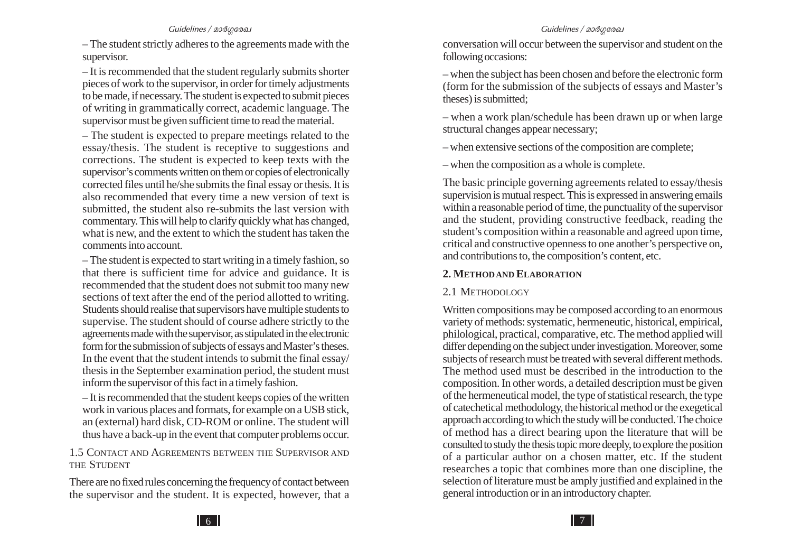– The student strictly adheres to the agreements made with the supervisor.

– It is recommended that the student regularly submits shorter pieces of work to the supervisor, in order for timely adjustments to be made, if necessary. The student is expected to submit pieces of writing in grammatically correct, academic language. The supervisor must be given sufficient time to read the material.

– The student is expected to prepare meetings related to the essay/thesis. The student is receptive to suggestions and corrections. The student is expected to keep texts with the supervisor's comments written on them or copies of electronically corrected files until he/she submits the final essay or thesis. It is also recommended that every time a new version of text is submitted, the student also re-submits the last version with commentary. This will help to clarify quickly what has changed, what is new, and the extent to which the student has taken the comments into account.

– The student is expected to start writing in a timely fashion, so that there is sufficient time for advice and guidance. It is recommended that the student does not submit too many new sections of text after the end of the period allotted to writing. Students should realise that supervisors have multiple students to supervise. The student should of course adhere strictly to the agreements made with the supervisor, as stipulated in the electronic form for the submission of subjects of essays and Master's theses. In the event that the student intends to submit the final essay/ thesis in the September examination period, the student must inform the supervisor of this fact in a timely fashion.

– It is recommended that the student keeps copies of the written work in various places and formats, for example on a USB stick, an (external) hard disk, CD-ROM or online. The student will thus have a back-up in the event that computer problems occur.

1.5 CONTACT AND AGREEMENTS BETWEEN THE SUPERVISOR AND THE STUDENT

There are no fixed rules concerning the frequency of contact between the supervisor and the student. It is expected, however, that a

conversation will occur between the supervisor and student on the following occasions:

– when the subject has been chosen and before the electronic form (form for the submission of the subjects of essays and Master's theses) is submitted;

– when a work plan/schedule has been drawn up or when large structural changes appear necessary;

– when extensive sections of the composition are complete;

– when the composition as a whole is complete.

The basic principle governing agreements related to essay/thesis supervision is mutual respect. This is expressed in answering emails within a reasonable period of time, the punctuality of the supervisor and the student, providing constructive feedback, reading the student's composition within a reasonable and agreed upon time, critical and constructive openness to one another's perspective on, and contributions to, the composition's content, etc.

#### **2. METHOD AND ELABORATION**

#### 2.1 METHODOLOGY

Written compositions may be composed according to an enormous variety of methods: systematic, hermeneutic, historical, empirical, philological, practical, comparative, etc. The method applied will differ depending on the subject under investigation. Moreover, some subjects of research must be treated with several different methods. The method used must be described in the introduction to the composition. In other words, a detailed description must be given of the hermeneutical model, the type of statistical research, the type of catechetical methodology, the historical method or the exegetical approach according to which the study will be conducted. The choice of method has a direct bearing upon the literature that will be consulted to study the thesis topic more deeply, to explore the position of a particular author on a chosen matter, etc. If the student researches a topic that combines more than one discipline, the selection of literature must be amply justified and explained in the general introduction or in an introductory chapter.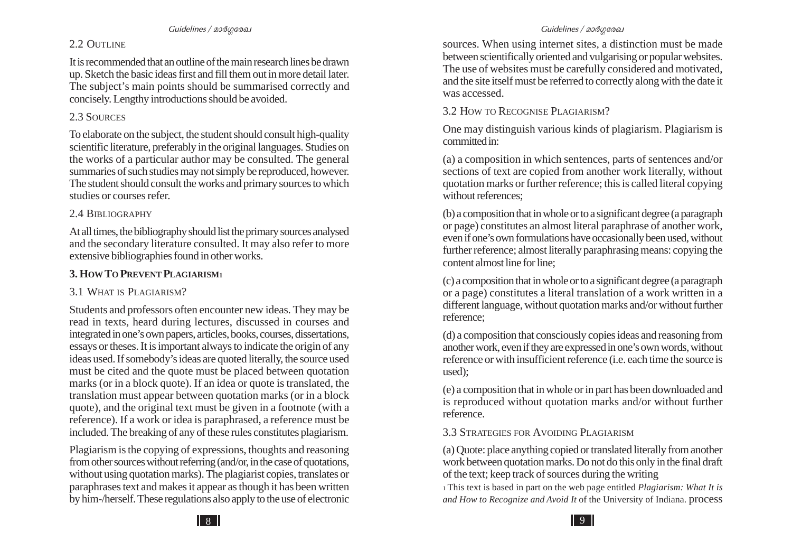### 2.2 OUTLINE

It is recommended that an outline of the main research lines be drawn up. Sketch the basic ideas first and fill them out in more detail later. The subject's main points should be summarised correctly and concisely. Lengthy introductions should be avoided.

### 2.3 SOURCES

To elaborate on the subject, the student should consult high-quality scientific literature, preferably in the original languages. Studies on the works of a particular author may be consulted. The general summaries of such studies may not simply be reproduced, however. The student should consult the works and primary sources to which studies or courses refer.

### 2.4 BIBLIOGRAPHY

At all times, the bibliography should list the primary sources analysed and the secondary literature consulted. It may also refer to more extensive bibliographies found in other works.

# **3. HOW TO PREVENT PLAGIARISM<sup>1</sup>**

## 3.1 WHAT IS PLAGIARISM?

Students and professors often encounter new ideas. They may be read in texts, heard during lectures, discussed in courses and integrated in one's own papers, articles, books, courses, dissertations, essays or theses. It is important always to indicate the origin of any ideas used. If somebody's ideas are quoted literally, the source used must be cited and the quote must be placed between quotation marks (or in a block quote). If an idea or quote is translated, the translation must appear between quotation marks (or in a block quote), and the original text must be given in a footnote (with a reference). If a work or idea is paraphrased, a reference must be included. The breaking of any of these rules constitutes plagiarism.

Plagiarism is the copying of expressions, thoughts and reasoning from other sources without referring (and/or, in the case of quotations, without using quotation marks). The plagiarist copies, translates or paraphrases text and makes it appear as though it has been written by him-/herself. These regulations also apply to the use of electronic

sources. When using internet sites, a distinction must be made between scientifically oriented and vulgarising or popular websites. The use of websites must be carefully considered and motivated, and the site itself must be referred to correctly along with the date it was accessed.

3.2 HOW TO RECOGNISE PLAGIARISM?

One may distinguish various kinds of plagiarism. Plagiarism is committed in:

(a) a composition in which sentences, parts of sentences and/or sections of text are copied from another work literally, without quotation marks or further reference; this is called literal copying without references;

(b) a composition that in whole or to a significant degree (a paragraph or page) constitutes an almost literal paraphrase of another work, even if one's own formulations have occasionally been used, without further reference; almost literally paraphrasing means: copying the content almost line for line;

(c) a composition that in whole or to a significant degree (a paragraph or a page) constitutes a literal translation of a work written in a different language, without quotation marks and/or without further reference;

(d) a composition that consciously copies ideas and reasoning from another work, even if they are expressed in one's own words, without reference or with insufficient reference (i.e. each time the source is used);

(e) a composition that in whole or in part has been downloaded and is reproduced without quotation marks and/or without further reference.

3.3 STRATEGIES FOR AVOIDING PLAGIARISM

(a) Quote: place anything copied or translated literally from another work between quotation marks. Do not do this only in the final draft of the text; keep track of sources during the writing

<sup>1</sup>This text is based in part on the web page entitled *Plagiarism: What It is and How to Recognize and Avoid It* of the University of Indiana. process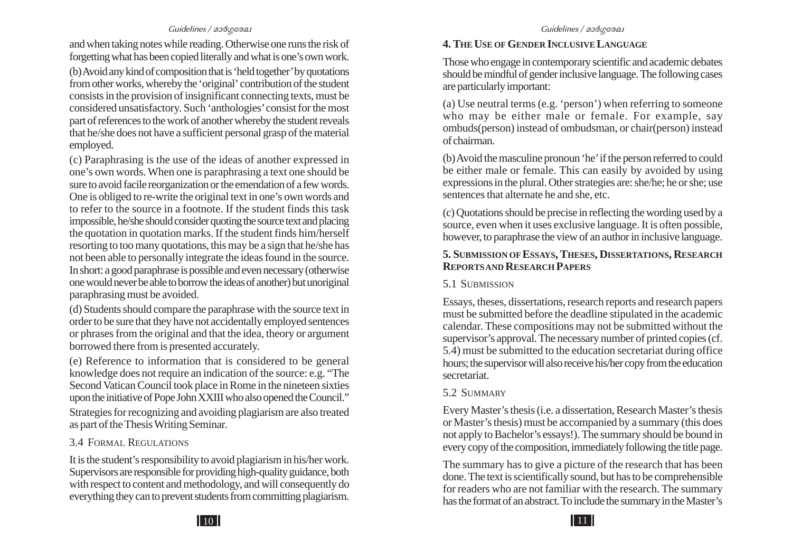and when taking notes while reading. Otherwise one runs the risk of forgetting what has been copied literally and what is one's own work.

(b) Avoid any kind of composition that is 'held together' by quotations from other works, whereby the 'original' contribution of the student consists in the provision of insignificant connecting texts, must be considered unsatisfactory. Such 'anthologies' consist for the most part of references to the work of another whereby the student reveals that he/she does not have a sufficient personal grasp of the material employed.

(c) Paraphrasing is the use of the ideas of another expressed in one's own words. When one is paraphrasing a text one should be sure to avoid facile reorganization or the emendation of a few words. One is obliged to re-write the original text in one's own words and to refer to the source in a footnote. If the student finds this task impossible, he/she should consider quoting the source text and placing the quotation in quotation marks. If the student finds him/herself resorting to too many quotations, this may be a sign that he/she has not been able to personally integrate the ideas found in the source. In short: a good paraphrase is possible and even necessary (otherwise one would never be able to borrow the ideas of another) but unoriginal paraphrasing must be avoided.

(d) Students should compare the paraphrase with the source text in order to be sure that they have not accidentally employed sentences or phrases from the original and that the idea, theory or argument borrowed there from is presented accurately.

(e) Reference to information that is considered to be general knowledge does not require an indication of the source: e.g. "The Second Vatican Council took place in Rome in the nineteen sixties upon the initiative of Pope John XXIII who also opened the Council."

Strategies for recognizing and avoiding plagiarism are also treated as part of the Thesis Writing Seminar.

#### 3.4 FORMAL REGULATIONS

It is the student's responsibility to avoid plagiarism in his/her work. Supervisors are responsible for providing high-quality guidance, both with respect to content and methodology, and will consequently do everything they can to prevent students from committing plagiarism.

#### **4. THE USE OF GENDER INCLUSIVE LANGUAGE**

Those who engage in contemporary scientific and academic debates should be mindful of gender inclusive language. The following cases are particularly important:

(a) Use neutral terms (e.g. 'person') when referring to someone who may be either male or female. For example, say ombuds(person) instead of ombudsman, or chair(person) instead of chairman.

(b) Avoid the masculine pronoun 'he' if the person referred to could be either male or female. This can easily by avoided by using expressions in the plural. Other strategies are: she/he; he or she; use sentences that alternate he and she, etc.

(c) Quotations should be precise in reflecting the wording used by a source, even when it uses exclusive language. It is often possible, however, to paraphrase the view of an author in inclusive language.

#### **5. SUBMISSION OF ESSAYS, THESES, DISSERTATIONS, RESEARCH REPORTS AND RESEARCH PAPERS**

#### 5.1 SUBMISSION

Essays, theses, dissertations, research reports and research papers must be submitted before the deadline stipulated in the academic calendar. These compositions may not be submitted without the supervisor's approval. The necessary number of printed copies (cf. 5.4) must be submitted to the education secretariat during office hours; the supervisor will also receive his/her copy from the education secretariat.

#### 5.2 SUMMARY

Every Master's thesis (i.e. a dissertation, Research Master's thesis or Master's thesis) must be accompanied by a summary (this does not apply to Bachelor's essays!). The summary should be bound in every copy of the composition, immediately following the title page.

The summary has to give a picture of the research that has been done. The text is scientifically sound, but has to be comprehensible for readers who are not familiar with the research. The summary has the format of an abstract. To include the summary in the Master's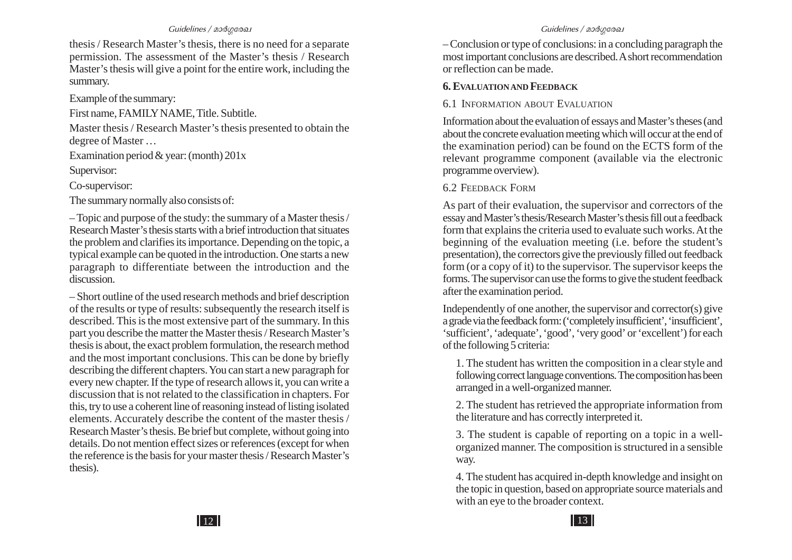thesis / Research Master's thesis, there is no need for a separate permission. The assessment of the Master's thesis / Research Master's thesis will give a point for the entire work, including the summary.

Example of the summary:

First name, FAMILY NAME, Title. Subtitle.

Master thesis / Research Master's thesis presented to obtain the degree of Master …

Examination period & year: (month) 201x

Supervisor:

Co-supervisor:

The summary normally also consists of:

– Topic and purpose of the study: the summary of a Master thesis / Research Master's thesis starts with a brief introduction that situates the problem and clarifies its importance. Depending on the topic, a typical example can be quoted in the introduction. One starts a new paragraph to differentiate between the introduction and the discussion.

– Short outline of the used research methods and brief description of the results or type of results: subsequently the research itself is described. This is the most extensive part of the summary. In this part you describe the matter the Master thesis / Research Master's thesis is about, the exact problem formulation, the research method and the most important conclusions. This can be done by briefly describing the different chapters. You can start a new paragraph for every new chapter. If the type of research allows it, you can write a discussion that is not related to the classification in chapters. For this, try to use a coherent line of reasoning instead of listing isolated elements. Accurately describe the content of the master thesis / Research Master's thesis. Be brief but complete, without going into details. Do not mention effect sizes or references (except for when the reference is the basis for your master thesis / Research Master's thesis).

– Conclusion or type of conclusions: in a concluding paragraph the most important conclusions are described. A short recommendation or reflection can be made.

### **6. E VALUATION AND FEEDBACK**

#### 6.1 INFORMATION ABOUT E VALUATION

Information about the evaluation of essays and Master's theses (and about the concrete evaluation meeting which will occur at the end of the examination period) can be found on the ECTS form of the relevant programme component (available via the electronic programme overview).

#### 6.2 FEEDBACK FORM

As part of their evaluation, the supervisor and correctors of the essay and Master's thesis/Research Master's thesis fill out a feedback form that explains the criteria used to evaluate such works. At the beginning of the evaluation meeting (i.e. before the student's presentation), the correctors give the previously filled out feedback form (or a copy of it) to the supervisor. The supervisor keeps the forms. The supervisor can use the forms to give the student feedback after the examination period.

Independently of one another, the supervisor and corrector(s) give a grade via the feedback form: ('completely insufficient', 'insufficient', 'sufficient', 'adequate', 'good', 'very good' or 'excellent') for each of the following 5 criteria:

1. The student has written the composition in a clear style and following correct language conventions. The composition has been arranged in a well-organized manner.

2. The student has retrieved the appropriate information from the literature and has correctly interpreted it.

3. The student is capable of reporting on a topic in a wellorganized manner. The composition is structured in a sensible way.

4. The student has acquired in-depth knowledge and insight on the topic in question, based on appropriate source materials and with an eye to the broader context.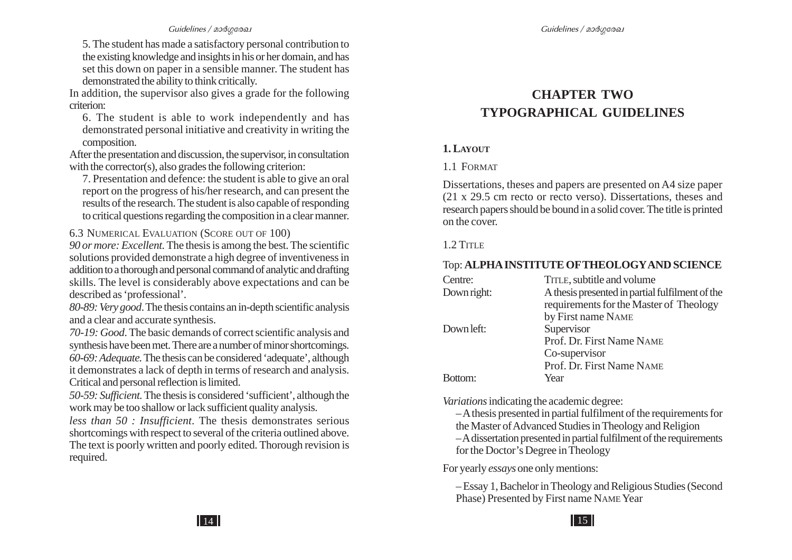5. The student has made a satisfactory personal contribution to the existing knowledge and insights in his or her domain, and has set this down on paper in a sensible manner. The student has demonstrated the ability to think critically.

In addition, the supervisor also gives a grade for the following criterion:

6. The student is able to work independently and has demonstrated personal initiative and creativity in writing the composition.

After the presentation and discussion, the supervisor, in consultation with the corrector(s), also grades the following criterion:

7. Presentation and defence: the student is able to give an oral report on the progress of his/her research, and can present the results of the research. The student is also capable of responding to critical questions regarding the composition in a clear manner.

6.3 NUMERICAL E VALUATION (SCORE OUT OF 100)

*90 or more: Excellent.* The thesis is among the best. The scientific solutions provided demonstrate a high degree of inventiveness in addition to a thorough and personal command of analytic and drafting skills. The level is considerably above expectations and can be described as 'professional'.

*80-89: Very good*. The thesis contains an in-depth scientific analysis and a clear and accurate synthesis.

*70-19: Good*. The basic demands of correct scientific analysis and synthesis have been met. There are a number of minor shortcomings. *60-69: Adequate.* The thesis can be considered 'adequate', although it demonstrates a lack of depth in terms of research and analysis. Critical and personal reflection is limited.

*50-59: Sufficient.* The thesis is considered 'sufficient', although the work may be too shallow or lack sufficient quality analysis.

*less than 50 : Insufficient*. The thesis demonstrates serious shortcomings with respect to several of the criteria outlined above. The text is poorly written and poorly edited. Thorough revision is required.

# **CHAPTER TWO TYPOGRAPHICAL GUIDELINES**

#### **1. L AYOUT**

#### 1.1 FORMAT

Dissertations, theses and papers are presented on A4 size paper (21 x 29.5 cm recto or recto verso). Dissertations, theses and research papers should be bound in a solid cover. The title is printed on the cover.

#### 1.2 TITLE

#### Top: **ALPHA INSTITUTE OFTHEOLOGYAND SCIENCE**

| Centre:     | TITLE, subtitle and volume                      |
|-------------|-------------------------------------------------|
| Down right: | A thesis presented in partial fulfilment of the |
|             | requirements for the Master of Theology         |
|             | by First name NAME                              |
| Down left:  | Supervisor                                      |
|             | Prof. Dr. First Name NAME                       |
|             | Co-supervisor                                   |
|             | Prof. Dr. First Name NAME                       |
|             | Year                                            |
|             |                                                 |

*Variations* indicating the academic degree:

– A thesis presented in partial fulfilment of the requirements for the Master of Advanced Studies in Theology and Religion – A dissertation presented in partial fulfilment of the requirements for the Doctor's Degree in Theology

For yearly *essays* one only mentions:

– Essay 1, Bachelor in Theology and Religious Studies (Second Phase) Presented by First name NAME Year

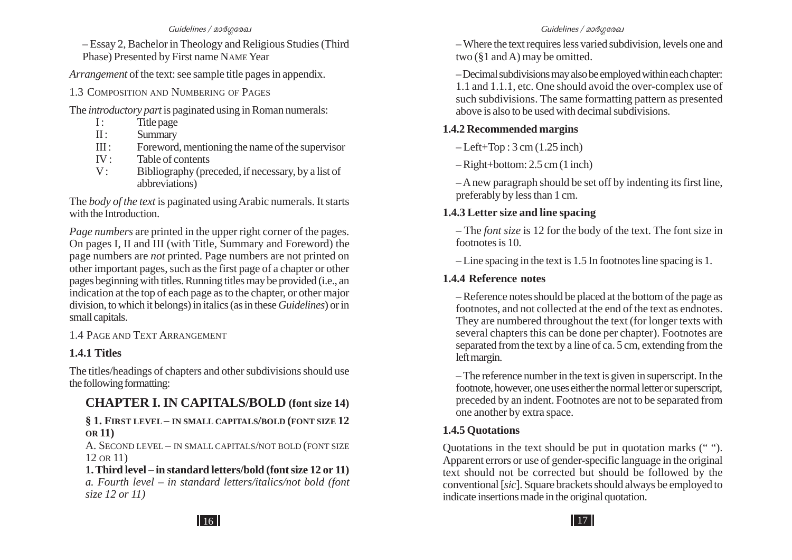– Essay 2, Bachelor in Theology and Religious Studies (Third Phase) Presented by First name NAME Year

*Arrangement* of the text: see sample title pages in appendix.

1.3 COMPOSITION AND NUMBERING OF PAGES

The *introductory part* is paginated using in Roman numerals:

- $I$ : Title page
- II : Summary
- III : Foreword, mentioning the name of the supervisor
- $IV:$ Table of contents
- V: Bibliography (preceded, if necessary, by a list of abbreviations)

The *body of the text* is paginated using Arabic numerals. It starts with the Introduction.

*Page numbers* are printed in the upper right corner of the pages. On pages I, II and III (with Title, Summary and Foreword) the page numbers are *not* printed. Page numbers are not printed on other important pages, such as the first page of a chapter or other pages beginning with titles. Running titles may be provided (i.e., an indication at the top of each page as to the chapter, or other major division, to which it belongs) in italics (as in these *Guidelines*) or in small capitals.

1.4 PAGE AND TEXT ARRANGEMENT

### **1.4.1 Titles**

The titles/headings of chapters and other subdivisions should use the following formatting:

# **CHAPTER I. IN CAPITALS/BOLD (font size 14)**

#### **§ 1. FIRST LEVEL– IN SMALL CAPITALS/BOLD (FONT SIZE 12 OR 11)**

A. SECOND LEVEL – IN SMALL CAPITALS/NOT BOLD (FONT SIZE 12 OR 11)

**1. Third level – in standard letters/bold (font size 12 or 11)** *a. Fourth level – in standard letters/italics/not bold (font size 12 or 11)*

– Where the text requires less varied subdivision, levels one and two (§1 and A) may be omitted.

– Decimal subdivisions may also be employed within each chapter: 1.1 and 1.1.1, etc. One should avoid the over-complex use of such subdivisions. The same formatting pattern as presented above is also to be used with decimal subdivisions.

### **1.4.2 Recommended margins**

 $-$ Left+Top :  $3$  cm  $(1.25$  inch)

– Right+bottom: 2.5 cm (1 inch)

– A new paragraph should be set off by indenting its first line, preferably by less than 1 cm.

### **1.4.3 Letter size and line spacing**

– The *font size* is 12 for the body of the text. The font size in footnotes is 10.

– Line spacing in the text is 1.5 In footnotes line spacing is 1.

### **1.4.4 Reference notes**

– Reference notes should be placed at the bottom of the page as footnotes, and not collected at the end of the text as endnotes. They are numbered throughout the text (for longer texts with several chapters this can be done per chapter). Footnotes are separated from the text by a line of ca. 5 cm, extending from the left margin.

– The reference number in the text is given in superscript. In the footnote, however, one uses either the normal letter or superscript, preceded by an indent. Footnotes are not to be separated from one another by extra space.

### **1.4.5 Quotations**

Quotations in the text should be put in quotation marks (" "). Apparent errors or use of gender-specific language in the original text should not be corrected but should be followed by the conventional [*sic*]. Square brackets should always be employed to indicate insertions made in the original quotation.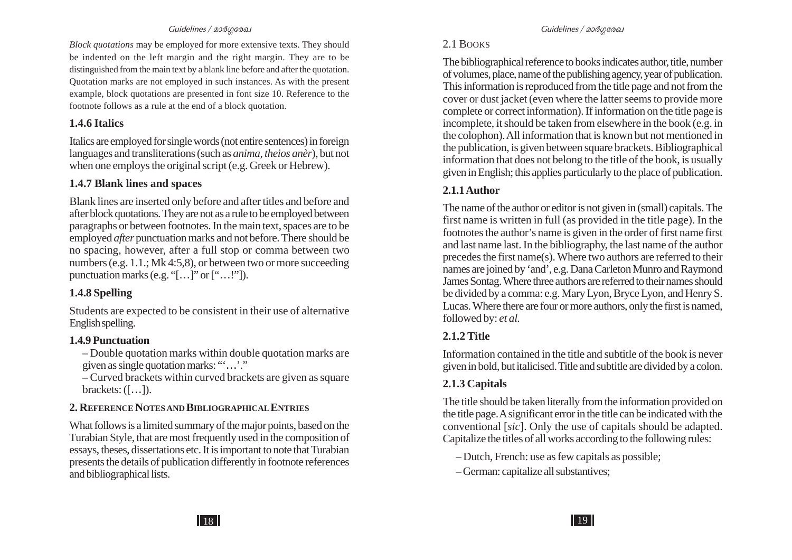*Block quotations* may be employed for more extensive texts. They should be indented on the left margin and the right margin. They are to be distinguished from the main text by a blank line before and after the quotation. Quotation marks are not employed in such instances. As with the present example, block quotations are presented in font size 10. Reference to the footnote follows as a rule at the end of a block quotation.

#### **1.4.6 Italics**

Italics are employed for single words (not entire sentences) in foreign languages and transliterations (such as *anima, theios anèr*), but not when one employs the original script (e.g. Greek or Hebrew).

### **1.4.7 Blank lines and spaces**

Blank lines are inserted only before and after titles and before and after block quotations. They are not as a rule to be employed between paragraphs or between footnotes. In the main text, spaces are to be employed *after* punctuation marks and not before. There should be no spacing, however, after a full stop or comma between two numbers (e.g. 1.1.; Mk 4:5,8), or between two or more succeeding punctuation marks (e.g. "[ …]" or [" …!"]).

### **1.4.8 Spelling**

Students are expected to be consistent in their use of alternative English spelling.

### **1.4.9 Punctuation**

– Double quotation marks within double quotation marks are given as single quotation marks: "'...'."

– Curved brackets within curved brackets are given as square brackets: ([ …]).

# **2. REFERENCE NOTES AND BIBLIOGRAPHICAL ENTRIES**

What follows is a limited summary of the major points, based on the Turabian Style, that are most frequently used in the composition of essays, theses, dissertations etc. It is important to note that Turabian presents the details of publication differently in footnote references and bibliographical lists.

### 2.1 BOOKS

The bibliographical reference to books indicates author, title, number of volumes, place, name of the publishing agency, year of publication. This information is reproduced from the title page and not from the cover or dust jacket (even where the latter seems to provide more complete or correct information). If information on the title page is incomplete, it should be taken from elsewhere in the book (e.g. in the colophon). All information that is known but not mentioned in the publication, is given between square brackets. Bibliographical information that does not belong to the title of the book, is usually given in English; this applies particularly to the place of publication.

# **2.1.1 Author**

The name of the author or editor is not given in (small) capitals. The first name is written in full (as provided in the title page). In the footnotes the author's name is given in the order of first name first and last name last. In the bibliography, the last name of the author precedes the first name(s). Where two authors are referred to their names are joined by 'and', e.g. Dana Carleton Munro and Raymond James Sontag. Where three authors are referred to their names should be divided by a comma: e.g. Mary Lyon, Bryce Lyon, and Henry S. Lucas. Where there are four or more authors, only the first is named, followed by: *et al.*

# **2.1.2 Title**

Information contained in the title and subtitle of the book is never given in bold, but italicised. Title and subtitle are divided by a colon.

# **2.1.3 Capitals**

The title should be taken literally from the information provided on the title page. A significant error in the title can be indicated with the conventional [*sic*]. Only the use of capitals should be adapted. Capitalize the titles of all works according to the following rules:

– Dutch, French: use as few capitals as possible;

– German: capitalize all substantives;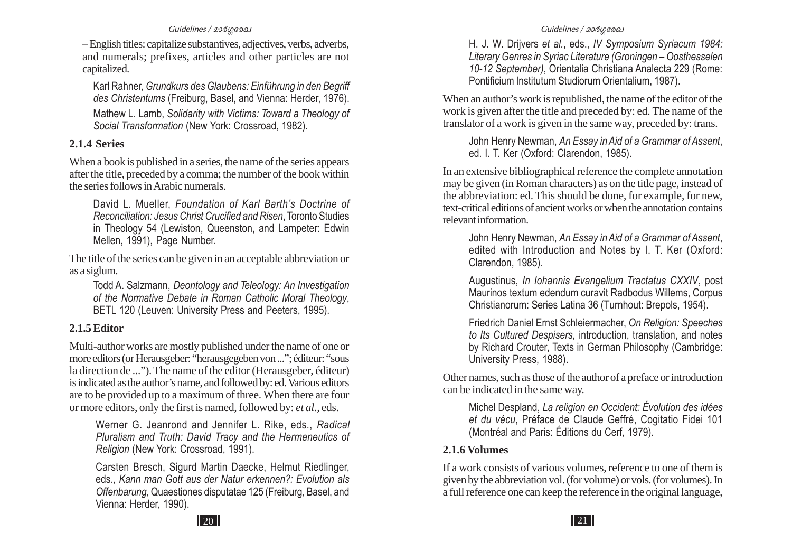– English titles: capitalize substantives, adjectives, verbs, adverbs, and numerals; prefixes, articles and other particles are not capitalized.

Karl Rahner, *Grundkurs des Glaubens: Einführung in den Begriff des Christentums* (Freiburg, Basel, and Vienna: Herder, 1976). Mathew L. Lamb, *Solidarity with Victims: Toward a Theology of Social Transformation* (New York: Crossroad, 1982).

#### **2.1.4 Series**

When a book is published in a series, the name of the series appears after the title, preceded by a comma; the number of the book within the series follows in Arabic numerals.

David L. Mueller, *Foundation of Karl Barth's Doctrine of Reconciliation: Jesus Christ Crucified and Risen*, Toronto Studies in Theology 54 (Lewiston, Queenston, and Lampeter: Edwin Mellen, 1991), Page Number.

The title of the series can be given in an acceptable abbreviation or as a siglum.

Todd A. Salzmann, *Deontology and Teleology: An Investigation of the Normative Debate in Roman Catholic Moral Theology*, BETL 120 (Leuven: University Press and Peeters, 1995).

#### **2.1.5 Editor**

Multi-author works are mostly published under the name of one or more editors (or Herausgeber: "herausgegeben von ..."; éditeur: "sous la direction de ..."). The name of the editor (Herausgeber, éditeur) is indicated as the author's name, and followed by: ed. Various editors are to be provided up to a maximum of three. When there are four or more editors, only the first is named, followed by: *et al.,* eds.

Werner G. Jeanrond and Jennifer L. Rike, eds., *Radical Pluralism and Truth: David Tracy and the Hermeneutics of Religion* (New York: Crossroad, 1991).

Carsten Bresch, Sigurd Martin Daecke, Helmut Riedlinger, eds., *Kann man Gott aus der Natur erkennen?: Evolution als Offenbarung*, Quaestiones disputatae 125 (Freiburg, Basel, and Vienna: Herder, 1990).

H. J. W. Drijvers *et al.*, eds., *IV Symposium Syriacum 1984: Literary Genres in Syriac Literature (Groningen – Oosthesselen 10-12 September)*, Orientalia Christiana Analecta 229 (Rome: Pontificium Institutum Studiorum Orientalium, 1987).

When an author's work is republished, the name of the editor of the work is given after the title and preceded by: ed. The name of the translator of a work is given in the same way, preceded by: trans.

John Henry Newman, *An Essay in Aid of a Grammar of Assent*, ed. I. T. Ker (Oxford: Clarendon, 1985).

In an extensive bibliographical reference the complete annotation may be given (in Roman characters) as on the title page, instead of the abbreviation: ed. This should be done, for example, for new, text-critical editions of ancient works or when the annotation contains relevant information.

John Henry Newman, *An Essay in Aid of a Grammar of Assent*, edited with Introduction and Notes by I. T. Ker (Oxford: Clarendon, 1985).

Augustinus, *In Iohannis Evangelium Tractatus CXXIV*, post Maurinos textum edendum curavit Radbodus Willems, Corpus Christianorum: Series Latina 36 (Turnhout: Brepols, 1954).

Friedrich Daniel Ernst Schleiermacher, *On Religion: Speeches to Its Cultured Despisers,* introduction, translation, and notes by Richard Crouter, Texts in German Philosophy (Cambridge: University Press, 1988).

Other names, such as those of the author of a preface or introduction can be indicated in the same way.

Michel Despland, *La religion en Occident: Évolution des idées et du vécu*, Préface de Claude Geffré, Cogitatio Fidei 101 (Montréal and Paris: Éditions du Cerf, 1979).

#### **2.1.6 Volumes**

If a work consists of various volumes, reference to one of them is given by the abbreviation vol. (for volume) or vols. (for volumes). In a full reference one can keep the reference in the original language,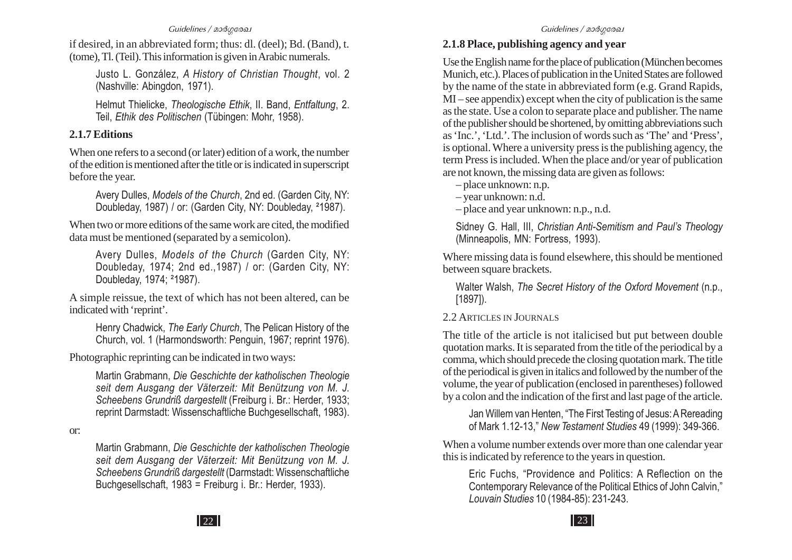if desired, in an abbreviated form; thus: dl. (deel); Bd. (Band), t. (tome), Tl. (Teil). This information is given in Arabic numerals.

Justo L. González, *A History of Christian Thought*, vol. 2 (Nashville: Abingdon, 1971).

Helmut Thielicke, *Theologische Ethik*, II. Band, *Entfaltung*, 2. Teil, *Ethik des Politischen* (Tübingen: Mohr, 1958).

#### **2.1.7 Editions**

When one refers to a second (or later) edition of a work, the number of the edition is mentioned after the title or is indicated in superscript before the year.

Avery Dulles, *Models of the Church*, 2nd ed. (Garden City, NY: Doubleday, 1987) / or: (Garden City, NY: Doubleday, ²1987).

When two or more editions of the same work are cited, the modified data must be mentioned (separated by a semicolon).

Avery Dulles, *Models of the Church* (Garden City, NY: Doubleday, 1974; 2nd ed.,1987) / or: (Garden City, NY: Doubleday, 1974; ²1987).

A simple reissue, the text of which has not been altered, can be indicated with 'reprint'.

Henry Chadwick, *The Early Church*, The Pelican History of the Church, vol. 1 (Harmondsworth: Penguin, 1967; reprint 1976).

Photographic reprinting can be indicated in two ways:

Martin Grabmann, *Die Geschichte der katholischen Theologie seit dem Ausgang der Väterzeit: Mit Benützung von M. J. Scheebens Grundriß dargestellt* (Freiburg i. Br.: Herder, 1933; reprint Darmstadt: Wissenschaftliche Buchgesellschaft, 1983).

or:

Martin Grabmann, *Die Geschichte der katholischen Theologie seit dem Ausgang der Väterzeit: Mit Benützung von M. J. Scheebens Grundriß dargestellt* (Darmstadt: Wissenschaftliche Buchgesellschaft, 1983 = Freiburg i. Br.: Herder, 1933).

#### **2.1.8 Place, publishing agency and year**

Use the English name for the place of publication (München becomes Munich, etc.). Places of publication in the United States are followed by the name of the state in abbreviated form (e.g. Grand Rapids,  $\overline{M}$  – see appendix) except when the city of publication is the same as the state. Use a colon to separate place and publisher. The name of the publisher should be shortened, by omitting abbreviations such as 'Inc.', 'Ltd.'. The inclusion of words such as 'The' and 'Press', is optional. Where a university press is the publishing agency, the term Press is included. When the place and/or year of publication are not known, the missing data are given as follows:

– place unknown: n.p.

– year unknown: n.d.

– place and year unknown: n.p., n.d.

Sidney G. Hall, III, *Christian Anti-Semitism and Paul's Theology* (Minneapolis, MN: Fortress, 1993).

Where missing data is found elsewhere, this should be mentioned between square brackets.

Walter Walsh, *The Secret History of the Oxford Movement* (n.p., [1897]).

## 2.2 A RTICLES IN JOURNALS

The title of the article is not italicised but put between double quotation marks. It is separated from the title of the periodical by a comma, which should precede the closing quotation mark. The title of the periodical is given in italics and followed by the number of the volume, the year of publication (enclosed in parentheses) followed by a colon and the indication of the first and last page of the article.

Jan Willem van Henten, "The First Testing of Jesus: A Rereading of Mark 1.12-13," *New Testament Studies* 49 (1999): 349-366.

When a volume number extends over more than one calendar year this is indicated by reference to the years in question.

Eric Fuchs, "Providence and Politics: A Reflection on the Contemporary Relevance of the Political Ethics of John Calvin," *Louvain Studies* 10 (1984-85): 231-243.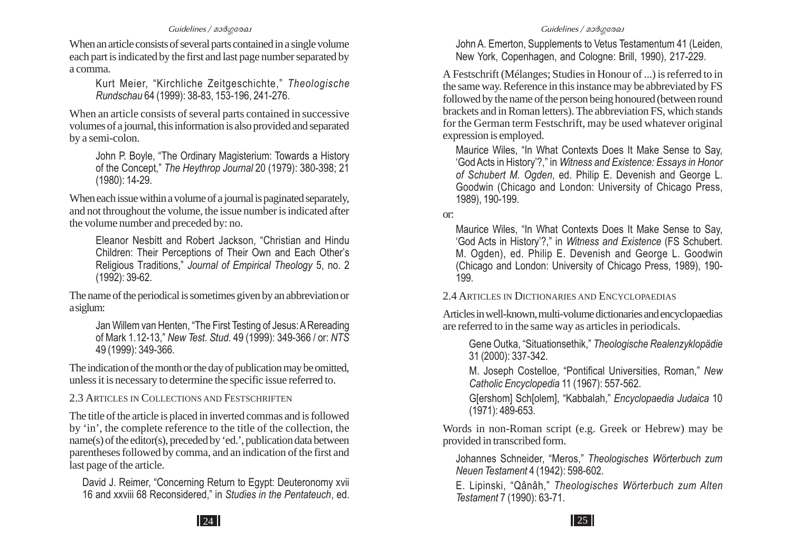When an article consists of several parts contained in a single volume each part is indicated by the first and last page number separated by a comma.

Kurt Meier, "Kirchliche Zeitgeschichte," *Theologische Rundschau* 64 (1999): 38-83, 153-196, 241-276.

When an article consists of several parts contained in successive volumes of a journal, this information is also provided and separated by a semi-colon.

John P. Boyle, "The Ordinary Magisterium: Towards a History of the Concept," *The Heythrop Journal* 20 (1979): 380-398; 21 (1980): 14-29.

When each issue within a volume of a journal is paginated separately, and not throughout the volume, the issue number is indicated after the volume number and preceded by: no.

Eleanor Nesbitt and Robert Jackson, "Christian and Hindu Children: Their Perceptions of Their Own and Each Other's Religious Traditions," *Journal of Empirical Theology* 5, no. 2 (1992): 39-62.

The name of the periodical is sometimes given by an abbreviation or a siglum:

Jan Willem van Henten, "The First Testing of Jesus: A Rereading of Mark 1.12-13," *New Test. Stud.* 49 (1999): 349-366 / or: *NTS* 49 (1999): 349-366.

The indication of the month or the day of publication may be omitted, unless it is necessary to determine the specific issue referred to.

#### 2.3 A RTICLES IN COLLECTIONS AND FESTSCHRIFTEN

The title of the article is placed in inverted commas and is followed by 'in', the complete reference to the title of the collection, the name(s) of the editor(s), preceded by 'ed.', publication data between parentheses followed by comma, and an indication of the first and last page of the article.

David J. Reimer, "Concerning Return to Egypt: Deuteronomy xvii 16 and xxviii 68 Reconsidered," in *Studies in the Pentateuch*, ed.

John A. Emerton, Supplements to Vetus Testamentum 41 (Leiden, New York, Copenhagen, and Cologne: Brill, 1990), 217-229.

A Festschrift (Mélanges; Studies in Honour of ...) is referred to in the same way. Reference in this instance may be abbreviated by FS followed by the name of the person being honoured (between round brackets and in Roman letters). The abbreviation FS, which stands for the German term Festschrift, may be used whatever original expression is employed.

Maurice Wiles, "In What Contexts Does It Make Sense to Say, 'God Acts in History'?," in *Witness and Existence: Essays in Honor of Schubert M. Ogden*, ed. Philip E. Devenish and George L. Goodwin (Chicago and London: University of Chicago Press, 1989), 190-199.

or:

Maurice Wiles, "In What Contexts Does It Make Sense to Say, 'God Acts in History'?," in *Witness and Existence* (FS Schubert. M. Ogden), ed. Philip E. Devenish and George L. Goodwin (Chicago and London: University of Chicago Press, 1989), 190- 199.

2.4 A RTICLES IN DICTIONARIES AND ENCYCLOPAEDIAS

Articles in well-known, multi-volume dictionaries and encyclopaedias are referred to in the same way as articles in periodicals.

Gene Outka, "Situationsethik," *Theologische Realenzyklopädie* 31 (2000): 337-342.

M. Joseph Costelloe, "Pontifical Universities, Roman," *New Catholic Encyclopedia* 11 (1967): 557-562.

G[ershom] Sch[olem], "Kabbalah," *Encyclopaedia Judaica* 10 (1971): 489-653.

Words in non-Roman script (e.g. Greek or Hebrew) may be provided in transcribed form.

Johannes Schneider, "Meros," *Theologisches Wörterbuch zum Neuen Testament* 4 (1942): 598-602.

E. Lipinski, "Qânâh," *Theologisches Wörterbuch zum Alten Testament* 7 (1990): 63-71.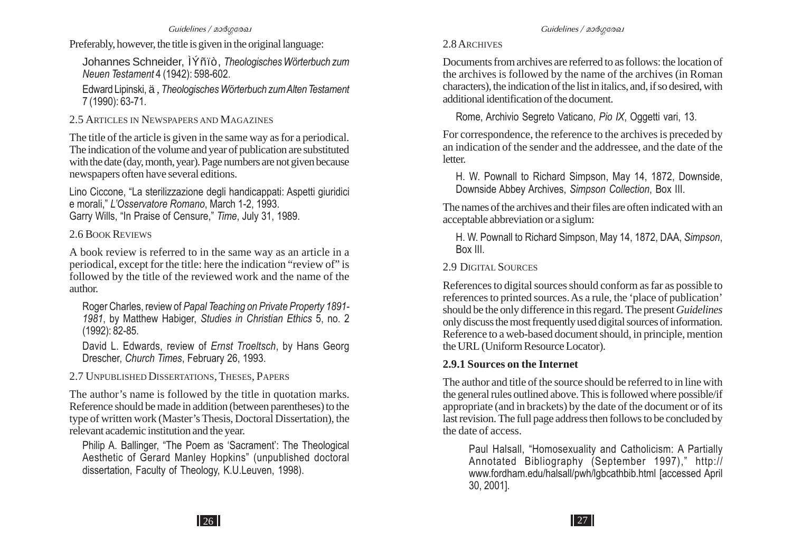Preferably, however, the title is given in the original language:

Johannes Schneider, ÌÝñïò, *Theologisches Wörterbuch zum Neuen Testament* 4 (1942): 598-602.

Edward Lipinski, ä , *Theologisches Wörterbuch zum Alten Testament* 7 (1990): 63-71.

2.5 ARTICLES IN NEWSPAPERS AND MAGAZINES

The title of the article is given in the same way as for a periodical. The indication of the volume and year of publication are substituted with the date (day, month, year). Page numbers are not given because newspapers often have several editions.

Lino Ciccone, "La sterilizzazione degli handicappati: Aspetti giuridici e morali," *L'Osservatore Romano*, March 1-2, 1993. Garry Wills, "In Praise of Censure," *Time*, July 31, 1989.

2.6 BOOK REVIEWS

A book review is referred to in the same way as an article in a periodical, except for the title: here the indication "review of" is followed by the title of the reviewed work and the name of the author.

Roger Charles, review of *Papal Teaching on Private Property 1891- 1981*, by Matthew Habiger, *Studies in Christian Ethics* 5, no. 2 (1992): 82-85.

David L. Edwards, review of *Ernst Troeltsch*, by Hans Georg Drescher, *Church Times*, February 26, 1993.

2.7 UNPUBLISHED DISSERTATIONS, THESES, PAPERS

The author's name is followed by the title in quotation marks. Reference should be made in addition (between parentheses) to the type of written work (Master's Thesis, Doctoral Dissertation), the relevant academic institution and the year.

Philip A. Ballinger, "The Poem as 'Sacrament': The Theological Aesthetic of Gerard Manley Hopkins" (unpublished doctoral dissertation, Faculty of Theology, K.U.Leuven, 1998).

## 2.8 ARCHIVES

Documents from archives are referred to as follows: the location of the archives is followed by the name of the archives (in Roman characters), the indication of the list in italics, and, if so desired, with additional identification of the document.

Rome, Archivio Segreto Vaticano, *Pio IX*, Oggetti vari, 13.

For correspondence, the reference to the archives is preceded by an indication of the sender and the addressee, and the date of the letter.

H. W. Pownall to Richard Simpson, May 14, 1872, Downside, Downside Abbey Archives, *Simpson Collection*, Box III.

The names of the archives and their files are often indicated with an acceptable abbreviation or a siglum:

H. W. Pownall to Richard Simpson, May 14, 1872, DAA, *Simpson*, Box III.

# 2.9 DIGITAL SOURCES

References to digital sources should conform as far as possible to references to printed sources. As a rule, the 'place of publication' should be the only difference in this regard. The present *Guidelines* only discuss the most frequently used digital sources of information. Reference to a web-based document should, in principle, mention the URL (Uniform Resource Locator).

# **2.9.1 Sources on the Internet**

The author and title of the source should be referred to in line with the general rules outlined above. This is followed where possible/if appropriate (and in brackets) by the date of the document or of its last revision. The full page address then follows to be concluded by the date of access.

Paul Halsall, "Homosexuality and Catholicism: A Partially Annotated Bibliography (September 1997)," http:// www.fordham.edu/halsall/pwh/lgbcathbib.html [accessed April 30, 2001].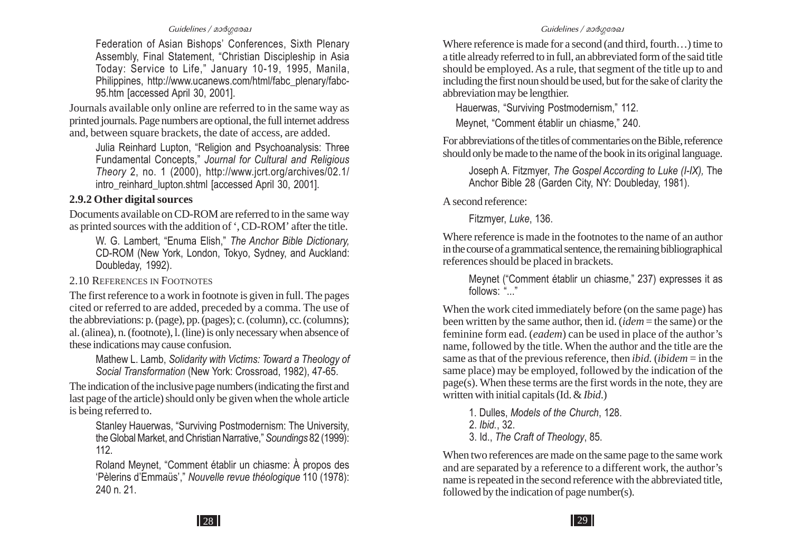Federation of Asian Bishops' Conferences, Sixth Plenary Assembly, Final Statement, "Christian Discipleship in Asia Today: Service to Life," January 10-19, 1995, Manila, Philippines, http://www.ucanews.com/html/fabc\_plenary/fabc-95.htm [accessed April 30, 2001].

Journals available only online are referred to in the same way as printed journals. Page numbers are optional, the full internet address and, between square brackets, the date of access, are added.

Julia Reinhard Lupton, "Religion and Psychoanalysis: Three Fundamental Concepts," *Journal for Cultural and Religious Theory* 2, no. 1 (2000), http://www.jcrt.org/archives/02.1/ intro\_reinhard\_lupton.shtml [accessed April 30, 2001].

#### **2.9.2 Other digital sources**

Documents available on CD-ROM are referred to in the same way as printed sources with the addition of ', CD-ROM' after the title.

W. G. Lambert, "Enuma Elish," *The Anchor Bible Dictionary,* CD-ROM (New York, London, Tokyo, Sydney, and Auckland: Doubleday, 1992).

2.10 REFERENCES IN FOOTNOTES

The first reference to a work in footnote is given in full. The pages cited or referred to are added, preceded by a comma. The use of the abbreviations: p. (page), pp. (pages); c. (column), cc. (columns); al. (alinea), n. (footnote), l. (line) is only necessary when absence of these indications may cause confusion.

> Mathew L. Lamb, *Solidarity with Victims: Toward a Theology of Social Transformation* (New York: Crossroad, 1982), 47-65.

The indication of the inclusive page numbers (indicating the first and last page of the article) should only be given when the whole article is being referred to.

Stanley Hauerwas, "Surviving Postmodernism: The University, the Global Market, and Christian Narrative," *Soundings* 82 (1999): 112.

Roland Meynet, "Comment établir un chiasme: À propos des 'Pèlerins d'Emmaüs'," *Nouvelle revue théologique* 110 (1978): 240 n. 21.

Where reference is made for a second (and third, fourth…) time to a title already referred to in full, an abbreviated form of the said title should be employed. As a rule, that segment of the title up to and including the first noun should be used, but for the sake of clarity the abbreviation may be lengthier.

Hauerwas, "Surviving Postmodernism," 112.

Meynet, "Comment établir un chiasme," 240.

For abbreviations of the titles of commentaries on the Bible, reference should only be made to the name of the book in its original language.

Joseph A. Fitzmyer, *The Gospel According to Luke (I-IX),* The Anchor Bible 28 (Garden City, NY: Doubleday, 1981).

A second reference:

Fitzmyer, *Luke*, 136.

Where reference is made in the footnotes to the name of an author in the course of a grammatical sentence, the remaining bibliographical references should be placed in brackets.

Meynet ("Comment établir un chiasme," 237) expresses it as follows: "..."

When the work cited immediately before (on the same page) has been written by the same author, then id. (*idem* = the same) or the feminine form ead. (*eadem*) can be used in place of the author's name, followed by the title. When the author and the title are the same as that of the previous reference, then *ibid.* (*ibidem* = in the same place) may be employed, followed by the indication of the page(s). When these terms are the first words in the note, they are written with initial capitals (Id. & *Ibid*.)

1. Dulles, *Models of the Church*, 128.

- 2. *Ibid.*, 32.
- 3. Id., *The Craft of Theology*, 85.

When two references are made on the same page to the same work and are separated by a reference to a different work, the author's name is repeated in the second reference with the abbreviated title, followed by the indication of page number(s).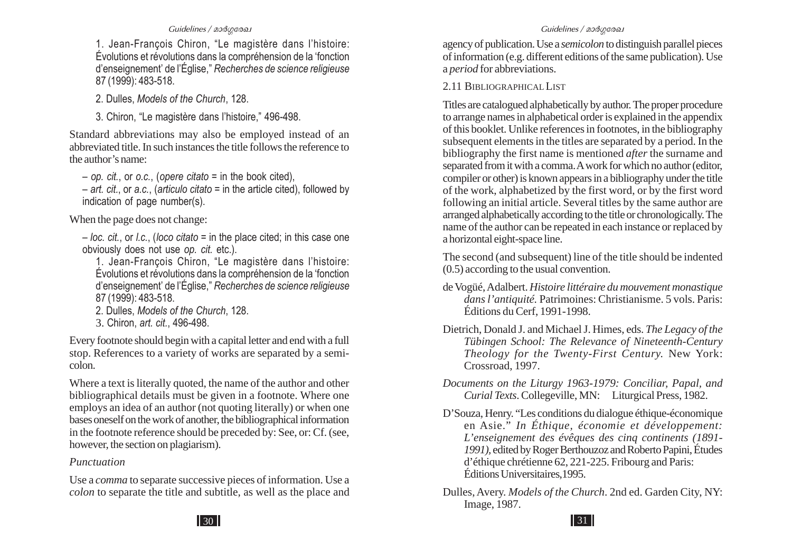1. Jean-François Chiron, "Le magistère dans l'histoire: Évolutions et révolutions dans la compréhension de la 'fonction d'enseignement' de l'Église," *Recherches de science religieuse* 87 (1999): 483-518.

2. Dulles, *Models of the Church*, 128.

3. Chiron, "Le magistère dans l'histoire," 496-498.

Standard abbreviations may also be employed instead of an abbreviated title. In such instances the title follows the reference to the author's name:

– *op. cit.*, or *o.c.*, (*opere citato* = in the book cited),

– *art. cit.*, or *a.c.*, (*articulo citato* = in the article cited), followed by indication of page number(s).

When the page does not change:

– *loc. cit.*, or *l.c.*, (*loco citato* = in the place cited; in this case one obviously does not use *op. cit.* etc.).

1. Jean-François Chiron, "Le magistère dans l'histoire: Évolutions et révolutions dans la compréhension de la 'fonction d'enseignement' de l'Église," *Recherches de science religieuse* 87 (1999): 483-518.

- 2. Dulles, *Models of the Church*, 128.
- 3. Chiron, *art. cit.*, 496-498.

Every footnote should begin with a capital letter and end with a full stop. References to a variety of works are separated by a semicolon.

Where a text is literally quoted, the name of the author and other bibliographical details must be given in a footnote. Where one employs an idea of an author (not quoting literally) or when one bases oneself on the work of another, the bibliographical information in the footnote reference should be preceded by: See, or: Cf. (see, however, the section on plagiarism).

#### *Punctuation*

Use a *comma* to separate successive pieces of information. Use a *colon* to separate the title and subtitle, as well as the place and

agency of publication. Use a *semicolon* to distinguish parallel pieces of information (e.g. different editions of the same publication). Use <sup>a</sup>*period* for abbreviations.

#### 2.11 BIBLIOGRAPHICAL LIST

Titles are catalogued alphabetically by author. The proper procedure to arrange names in alphabetical order is explained in the appendix of this booklet. Unlike references in footnotes, in the bibliography subsequent elements in the titles are separated by a period. In the bibliography the first name is mentioned *after* the surname and separated from it with a comma. A work for which no author (editor, compiler or other) is known appears in a bibliography under the title of the work, alphabetized by the first word, or by the first word following an initial article. Several titles by the same author are arranged alphabetically according to the title or chronologically. The name of the author can be repeated in each instance or replaced by a horizontal eight-space line.

The second (and subsequent) line of the title should be indented (0.5) according to the usual convention.

- de Vogüé, Adalbert. *Histoire littéraire du mouvement monastique dans l'antiquité.* Patrimoines: Christianisme. 5 vols. Paris: Éditions du Cerf, 1991-1998.
- Dietrich, Donald J. and Michael J. Himes, eds. *The Legacy of the Tübingen School: The Relevance of Nineteenth-Century Theology for the Twenty-First Century.* New York: Crossroad, 1997.
- *Documents on the Liturgy 1963-1979: Conciliar, Papal, and Curial Texts*. Collegeville, MN: Liturgical Press, 1982.
- D'Souza, Henry. "Les conditions du dialogue éthique-économique en Asie." *In Éthique, économie et développement: L'enseignement des évêques des cinq continents (1891- 1991),* edited by Roger Berthouzoz and Roberto Papini, Études d'éthique chrétienne 62, 221-225. Fribourg and Paris: Éditions Universitaires,1995.
- Dulles, Avery. *Models of the Church*. 2nd ed. Garden City, NY: Image, 1987.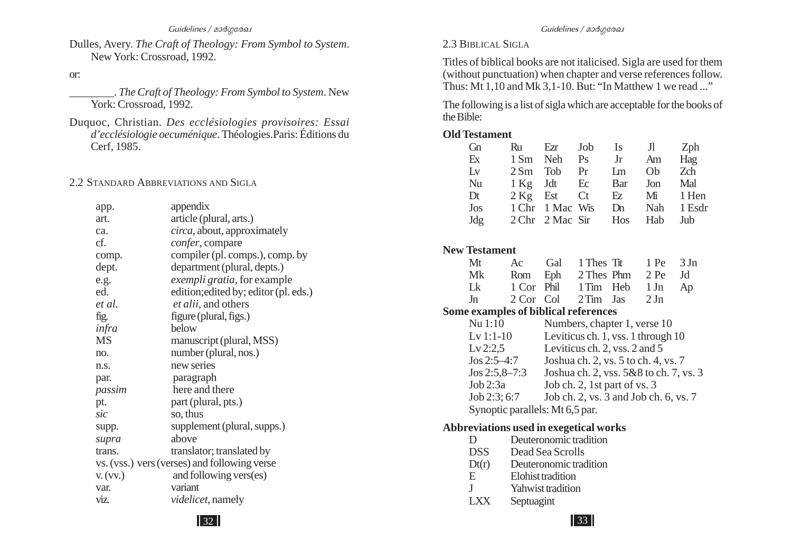#### Dulles, Avery. *The Craft of Theology: From Symbol to System*. New York: Crossroad, 1992.

or:

- \_\_\_\_\_\_\_\_. *The Craft of Theology: From Symbol to System*. New York: Crossroad, 1992.
- Duquoc, Christian. *Des ecclésiologies provisoires: Essai d'ecclésiologie oecuménique*. Théologies.Paris: Éditions du Cerf, 1985.

#### 2.2 S TANDARD ABBREVIATIONS AND SIGLA

| app.      | appendix                                     |
|-----------|----------------------------------------------|
| art.      | article (plural, arts.)                      |
| ca.       | <i>circa</i> , about, approximately          |
| cf.       | confer, compare                              |
| comp.     | compiler (pl. comps.), comp. by              |
| dept.     | department (plural, depts.)                  |
| e.g.      | <i>exempli gratia</i> , for example          |
| ed.       | edition; edited by; editor (pl. eds.)        |
| et al.    | <i>et alii</i> , and others                  |
| fig.      | figure (plural, figs.)                       |
| infra     | below                                        |
| <b>MS</b> | manuscript (plural, MSS)                     |
| no.       | number (plural, nos.)                        |
| n.s.      | new series                                   |
| par.      | paragraph                                    |
| passim    | here and there                               |
| pt.       | part (plural, pts.)                          |
| sic       | so, thus                                     |
| supp.     | supplement (plural, supps.)                  |
| supra     | above                                        |
| trans.    | translator; translated by                    |
|           | vs. (vss.) vers (verses) and following verse |
| V. (VV.)  | and following vers(es)                       |
| var.      | variant                                      |
| viz.      | <i>videlicet</i> , namely                    |
|           |                                              |

#### 2.3 BIBLICAL SIGLA

Titles of biblical books are not italicised. Sigla are used for them (without punctuation) when chapter and verse references follow. Thus: Mt 1,10 and Mk 3,1-10. But: "In Matthew 1 we read ..."

The following is a list of sigla which are acceptable for the books of the Bible:

#### **Old Testament**

| G <sub>n</sub> | Ru | Ezr Job                 | <b>Is</b>              | J1         | Zph |
|----------------|----|-------------------------|------------------------|------------|-----|
| Ex             |    | 1 Sm Neh Ps             | Jr                     | Am         | Hag |
| Lv             |    | $2 \text{ Sm}$ Tob Pr   | $\mathop{\mathrm{Lm}}$ | Ob         | Zch |
| Nu             |    | 1 Kg Jdt Ec             | Bar                    | Jon        | Mal |
| Dt             |    | $2 \text{ kg}$ Est Ct   | Ez                     | Mi 1 Hen   |     |
| Jos            |    | 1 Chr 1 Mac Wis         | Dn                     | Nah 1 Esdr |     |
| Jdg            |    | 2 Chr 2 Mac Sir Hos Hab |                        |            | Jub |

#### **New Testament**

| Mt                                   | Ac        | Gal  | 1 Thes T <sub>it</sub> |                                        | 1 Pe   | 3Jn |
|--------------------------------------|-----------|------|------------------------|----------------------------------------|--------|-----|
| Mk                                   | Rom       | Eph  | 2 Thes Phm             |                                        | 2 Pe   | Jd  |
| Lk                                   | 1 Cor     | Phil | 1 Tim                  | Heb                                    | $1$ Jn | Ap  |
| Jn                                   | 2 Cor Col |      | $2$ Tim                | Jas                                    | 2Jn    |     |
| Some examples of biblical references |           |      |                        |                                        |        |     |
| Nu 1:10                              |           |      |                        | Numbers, chapter 1, verse 10           |        |     |
| $Lv1:1-10$                           |           |      |                        | Leviticus ch. 1, vss. 1 through 10     |        |     |
| Lv 2:2,5                             |           |      |                        | Leviticus ch. 2, vss. 2 and 5          |        |     |
| $Jos 2:5-4:7$                        |           |      |                        | Joshua ch. 2, vs. 5 to ch. 4, vs. 7    |        |     |
| $Jos 2:5,8-7:3$                      |           |      |                        | Joshua ch. 2, vss. 5&8 to ch. 7, vs. 3 |        |     |
| Job 2:3a                             |           |      |                        | Job ch. 2, 1st part of vs. 3           |        |     |
| Job 2:3; 6:7                         |           |      |                        | Job ch. 2, vs. 3 and Job ch. 6, vs. 7  |        |     |
| Synoptic parallels: Mt 6,5 par.      |           |      |                        |                                        |        |     |
|                                      |           |      |                        |                                        |        |     |

#### **Abbreviations used in exegetical works**

| D          | Deuteronomic tradition |
|------------|------------------------|
| <b>DSS</b> | Dead Sea Scrolls       |
| Dt(r)      | Deuteronomic tradition |
| E.         | Elohist tradition      |
| -1         | Yahwist tradition      |
| I XX       | Septuagint             |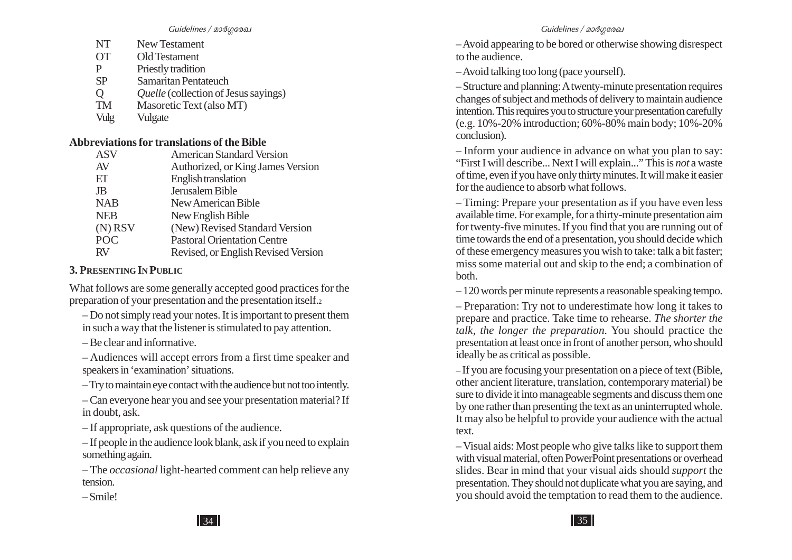| NT        | New Testament                  |
|-----------|--------------------------------|
| <b>OT</b> | Old Testament                  |
| р         | Priestly tradition             |
| <b>SP</b> | Samaritan Pentateuch           |
| ( )       | <i>Quelle</i> (collection of J |

- Q *Quelle* (collection of Jesus sayings)<br>
TM Masoretic Text (also MT) TM Masoretic Text (also MT)
- Vulg Vulgate

#### **Abbreviations for translations of the Bible**

| <b>American Standard Version</b>    |
|-------------------------------------|
| Authorized, or King James Version   |
| English translation                 |
| Jerusalem Bible                     |
| New American Bible                  |
| New English Bible                   |
| (New) Revised Standard Version      |
| <b>Pastoral Orientation Centre</b>  |
| Revised, or English Revised Version |
|                                     |

#### **3. PRESENTING IN PUBLIC**

– Smile!

What follows are some generally accepted good practices for the preparation of your presentation and the presentation itself.<sup>2</sup>

– Do not simply read your notes. It is important to present them in such a way that the listener is stimulated to pay attention.

– Be clear and informative.

– Audiences will accept errors from a first time speaker and speakers in 'examination' situations.

– Try to maintain eye contact with the audience but not too intently.

– Can everyone hear you and see your presentation material? If in doubt, ask.

– If appropriate, ask questions of the audience.

– If people in the audience look blank, ask if you need to explain something again.

– The *occasional* light-hearted comment can help relieve any tension.

– Avoid appearing to be bored or otherwise showing disrespect to the audience.

– Avoid talking too long (pace yourself).

– Structure and planning: A twenty-minute presentation requires changes of subject and methods of delivery to maintain audience intention. This requires you to structure your presentation carefully (e.g. 10%-20% introduction; 60%-80% main body; 10%-20% conclusion).

– Inform your audience in advance on what you plan to say: "First I will describe... Next I will explain..." This is *not* a waste of time, even if you have only thirty minutes. It will make it easier for the audience to absorb what follows.

– Timing: Prepare your presentation as if you have even less available time. For example, for a thirty-minute presentation aim for twenty-five minutes. If you find that you are running out of time towards the end of a presentation, you should decide which of these emergency measures you wish to take: talk a bit faster; miss some material out and skip to the end; a combination of both.

– 120 words per minute represents a reasonable speaking tempo.

– Preparation: Try not to underestimate how long it takes to prepare and practice. Take time to rehearse. *The shorter the talk, the longer the preparation*. You should practice the presentation at least once in front of another person, who should ideally be as critical as possible.

– If you are focusing your presentation on a piece of text (Bible, other ancient literature, translation, contemporary material) be sure to divide it into manageable segments and discuss them one by one rather than presenting the text as an uninterrupted whole. It may also be helpful to provide your audience with the actual text.

– Visual aids: Most people who give talks like to support them with visual material, often PowerPoint presentations or overhead slides. Bear in mind that your visual aids should *support* the presentation. They should not duplicate what you are saying, and you should avoid the temptation to read them to the audience.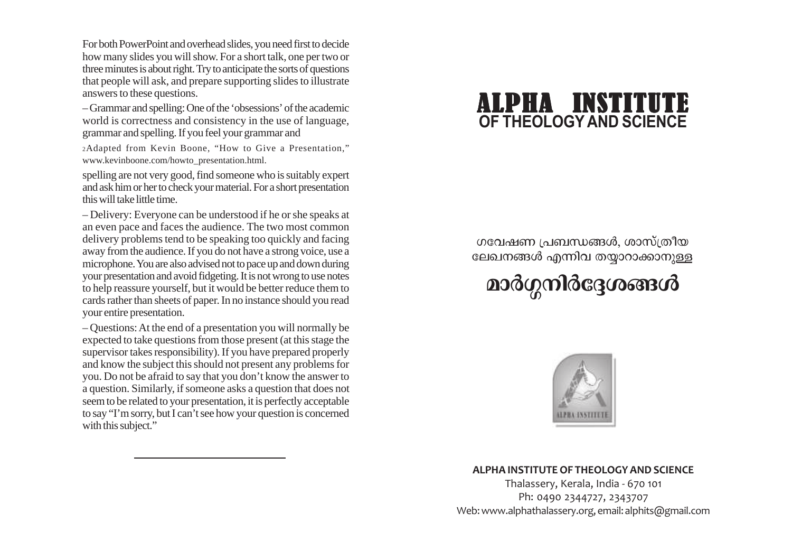For both PowerPoint and overhead slides, you need first to decide how many slides you will show. For a short talk, one per two or three minutes is about right. Try to anticipate the sorts of questions that people will ask, and prepare supporting slides to illustrate answers to these questions.

– Grammar and spelling: One of the 'obsessions' of the academic world is correctness and consistency in the use of language, grammar and spelling. If you feel your grammar and

2Adapted from Kevin Boone, "How to Give a Presentation," www.kevinboone.com/howto\_presentation.html.

spelling are not very good, find someone who is suitably expert and ask him or her to check your material. For a short presentation this will take little time.

– Delivery: Everyone can be understood if he or she speaks at an even pace and faces the audience. The two most common delivery problems tend to be speaking too quickly and facing away from the audience. If you do not have a strong voice, use a microphone. You are also advised not to pace up and down during your presentation and avoid fidgeting. It is not wrong to use notes to help reassure yourself, but it would be better reduce them to cards rather than sheets of paper. In no instance should you read your entire presentation.

– Questions: At the end of a presentation you will normally be expected to take questions from those present (at this stage the supervisor takes responsibility). If you have prepared properly and know the subject this should not present any problems for you. Do not be afraid to say that you don't know the answer to a question. Similarly, if someone asks a question that does not seem to be related to your presentation, it is perfectly acceptable to say "I'm sorry, but I can't see how your question is concerned with this subject."

# **OF THEOLOGYAND SCIENCE** ALPHA INSTITUTE

ഗവേഷണ പ്രബന്ധങ്ങൾ, ശാസ്ത്രീയ ലേഖനങ്ങൾ എന്നിവ തയാറാക്കാനുള്ള

മാർഗ്ഗനിർദ്ദേശങ്ങൾ



#### **ALPHA INSTITUTE OF THEOLOGY AND SCIENCE**

Thalassery, Kerala, India - 670 101 Ph: 0490 2344727, 2343707 Web: www.alphathalassery.org, email: alphits@gmail.com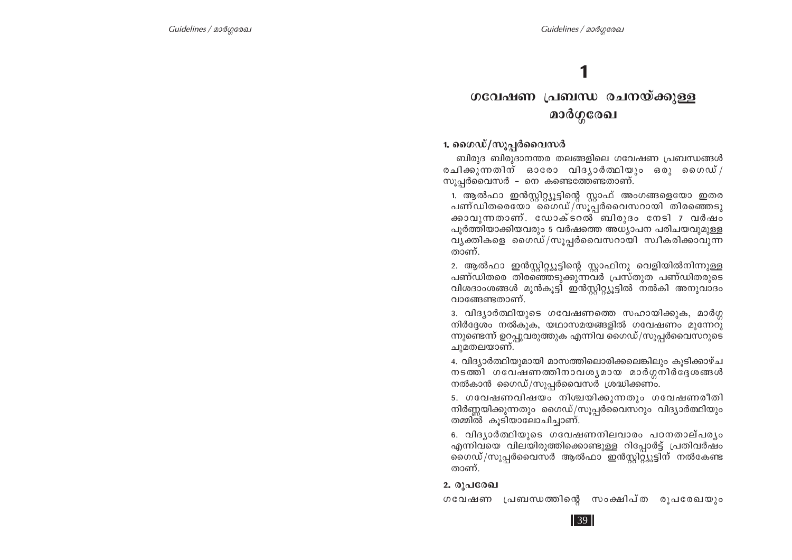# 1

# ഗവേഷണ പ്രബന്ധ രചനയ്ക്കുള്ള മാർഗ്ഗരേഖ

1. ഗൈഡ്/സൂപ്പർവൈസർ

ബിരുദ ബിരുദാനന്തര തലങ്ങളിലെ ഗവേഷണ പ്രബന്ധങ്ങൾ രചിക്കുന്നതിന് ഓരോ വിദൃാർത്ഥിയും ഒരു ഗൈഡ്/ സൂപ്പർവൈസർ – നെ കണ്ടെത്തേണ്ടതാണ്.

1. ആൽഫാ ഇൻസ്ലിറ്റ്യൂട്ടിന്റെ സ്ലാഫ് അംഗങ്ങളെയോ ഇതര പണ്ഡിതരെയോ ഗൈഡ്/സുപ്പർവൈസറായി തിരഞ്ഞെടു ക്കാവുന്നതാണ്. ഡോക്ടറൽ ബിരുദം നേടി 7 വർഷം പുർത്തിയാക്കിയവരും 5 വർഷത്തെ അധ്യാപന പരിചയവുമുള്ള വൃക്തികളെ ഗൈഡ്/സൂപ്പർവൈസറായി സ്വീകരിക്കാവുന്ന താണ്.

2. ആൽഫാ ഇൻസ്റ്റിറ്റ്യൂട്ടിന്റെ സ്റ്റാഫിനു വെളിയിൽനിന്നുള്ള പണ്ഡിതരെ തിരഞ്ഞെടുക്കുന്നവർ പ്രസ്തുത പണ്ഡിതരുടെ വിശദാംശങ്ങൾ മുൻകൂട്ടി ഇൻസ്റ്റിറ്റ്യൂട്ടിൽ നൽകി അനുവാദം വാങ്ങേണ്ടതാണ്.

3. വിദൃാർത്ഥിയുടെ ഗവേഷണത്തെ സഹായിക്കുക, മാർഗ്ഗ നിർദ്ദേശം നൽകുക, യഥാസമയങ്ങളിൽ ഗവേഷണം മുന്നേറു ന്നുണ്ടെന്ന് ഉറപ്പുവരുത്തുക എന്നിവ ഗൈഡ്/സൂപ്പർവൈസറുടെ ചുമതലയാണ്.

4. വിദ്യാർത്ഥിയുമായി മാസത്തിലൊരിക്കലെങ്കിലും കുടിക്കാഴ്ച നടത്തി ഗവേഷണത്തിനാവശൃമായ മാർഗ്ഗനിർദ്ദേശങ്ങൾ നൽകാൻ ഗൈഡ്/സൂപ്പർവൈസർ ശ്രദ്ധിക്കണം.

5. ഗവേഷണവിഷയം നിശ്ചയിക്കുന്നതും ഗവേഷണരീതി നിർണ്ണയിക്കുന്നതും ഗൈഡ്/സൂപ്പർവൈസറും വിദ്യാർത്ഥിയും തമ്മിൽ കുടിയാലോചിച്ചാണ്.

6. വിദ്യാർത്ഥിയുടെ ഗവേഷണനിലവാരം പഠനതാല്പര്യം എന്നിവയെ വിലയിരുത്തിക്കൊണ്ടുള്ള റിപ്പോർട്ട് പ്രതിവർഷം ഗൈഡ്/സൂപ്പർവൈസർ ആൽഫാ ഇൻസ്റ്റിറ്റ്യൂട്ടിന് നൽകേണ്ട താണ്.

#### 2. രൂപരേഖ

ഗവേഷണ പ്രബന്ധത്തിന്റെ സംക്ഷിപ്ത രൂപരേഖയും

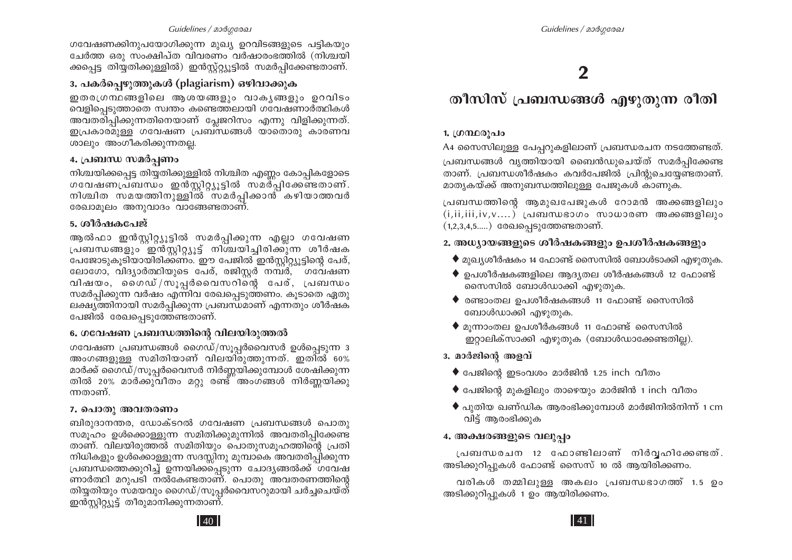#### Guidelines / മാർഗരേഖ

ഗവേഷണക്കിനുപയോഗിക്കുന്ന മുഖ്യ ഉറവിടങ്ങളുടെ പട്ടികയും

ചേർത്ത ഒരു സംക്ഷിപ്ത വിവരണം വർഷാരംഭത്തിൽ (നിശ്ചയി ക്കപ്പെട്ട തിയ്യതിക്കുള്ളിൽ) ഇൻസ്റ്റ്റ്യൂട്ടിൽ സമർപ്പിക്കേണ്ടതാണ്.

### 3. പകർപെഴുത്തുകൾ (plagiarism) ഒഴിവാക്കുക

ഇതരഗ്രന്ഥങ്ങളിലെ ആശയങ്ങളും വാകൃങ്ങളും ഉറവിടം വെളിപ്പെടുത്താതെ സ്വന്തം കണ്ടെത്തലായി ഗവേഷണാർത്ഥികൾ അവതരിപ്പിക്കുന്നതിനെയാണ് പ്ലേജറിസം എന്നു വിളിക്കുന്നത്. ഇപ്രകാരമുള്ള ഗവേഷണ പ്രബന്ധങ്ങൾ യാതൊരു കാരണവ ശാലും അംഗീകരിക്കുന്നതല്ല.

#### 4. പ്രബന്ധ സമർപണം

നിശ്ചയിക്കപ്പെട്ട തിയ്യതിക്കുള്ളിൽ നിശ്ചിത എണ്ണം കോപ്പികളോടെ ശവേഷണപ്രബന്ധം ഇൻസ്റ്റിറ്റ്യൂട്ടിൽ സമർപ്പിക്കേണ്ടതാണ്. നിശ്ചിത സമയത്തിനുള്ളിൽ സമർപ്പിക്കാൻ കഴിയാത്തവർ രേഖാമുലം അനുവാദം വാങ്ങേണ്ടതാണ്.

#### 5. ശീർഷകപേജ്

ആൽഫാ ഇൻസ്റ്റിറ്റ്യൂട്ടിൽ സമർപ്പിക്കുന്ന എല്ലാ ഗവേഷണ പ്രബന്ധങ്ങളും ഇൻസ്റ്റിറ്റ്യൂട്ട് നിശ്ചയിച്ചിരിക്കുന്ന ശീർഷക പേജോടുകുടിയായിരിക്കണം. ഈ പേജിൽ ഇൻസ്റ്റിറ്റ്യുട്ടിന്റെ പേര്, ലോഗോ, വിദ്യാർത്ഥിയുടെ പേര്, രജിസ്റ്റർ നമ്പർ, ഗവേഷണ വിഷയം, ഗൈഡ്/സൂപ്പർവൈസറിന്റെ പേര്, പ്രബന്ധം സമർപ്പിക്കുന്ന വർഷം എന്നിവ രേഖപ്പെടുത്തണം. കൂടാതെ ഏതു ലക്ഷ്യത്തിനായി സമർപ്പിക്കുന്ന പ്രബന്ധമാണ് എന്നതും ശീർഷക പേജിൽ രേഖപ്പെടുത്തേണ്ടതാണ്.

#### 6. ഗവേഷണ പ്രബന്ധത്തിന്റെ വിലയിരുത്തൽ

ഗവേഷണ പ്രബന്ധങ്ങൾ ഗൈഡ്/സൂപ്പർവൈസർ ഉൾപ്പെടുന്ന  $3$ അംഗങ്ങളുള്ള സമിതിയാണ് വിലയിരുത്തുന്നത്. ഇതിൽ 60% മാർക്ക് ഗൈഡ്/സൂപ്പർവൈസർ നിർണ്ണയിക്കുമ്പോൾ ശേഷിക്കുന്ന തിൽ 20% മാർക്കുവീതം മറ്റു രണ്ട് അംഗങ്ങൾ നിർണ്ണയിക്കു ന്നതാണ്.

#### 7. പൊതു അവതരണം

ബിരുദാനന്തര, ഡോക്ടറൽ ഗവേഷണ പ്രബന്ധങ്ങൾ പൊതു സമുഹം ഉൾക്കൊള്ളുന്ന സമിതിക്കുമുന്നിൽ അവതരിപ്പിക്കേണ്ട താണ്. വിലയിരുത്തൽ സമിതിയും പൊതുസമുഹത്തിന്റെ പ്രതി നിധികളും ഉൾക്കൊള്ളുന്ന സദസ്സിനു മുമ്പാകെ അവതരിപ്പിക്കുന്ന പ്രബന്ധത്തെക്കുറിച്ച് ഉന്നയിക്കപ്പെടുന്ന ചോദ്യങ്ങൽക്ക് ഗവേഷ ണാർത്ഥി മറുപടി നൽകേണ്ടതാണ്. പൊതു അവതരണത്തിന്റെ തിയ്യതിയും സമയവും ഗൈഡ്/സൂപ്പർവൈസറുമായി ചർച്ചചെയ്ത് ഇൻസ്റ്റിറ്റ്യൂട്ട് തീരുമാനിക്കുന്നതാണ്.

# $\mathbf 2$

# തീസിസ് പ്രബന്ധങ്ങൾ എഴുതുന്ന രീതി

#### 1. ഗ്രന്ഥരൂപം

A4 സൈസിലുള്ള പേപ്പറുകളിലാണ് പ്രബന്ധരചന നടത്തേണ്ടത്. പ്രബന്ധങ്ങൾ വൃത്തിയായി ബൈൻഡുചെയ്ത് സമർപ്പിക്കേണ്ട താണ്. പ്രബന്ധശീർഷകം കവർപേജിൽ പ്രിന്റുചെയ്യേണ്ടതാണ്. മാതൃകയ്ക്ക് അനുബന്ധത്തിലുള്ള പേജുകൾ കാണുക.

പ്രബന്ധത്തിന്റെ ആമുഖപേജുകൾ റോമൻ അക്കങ്ങളിലും  $(i, ii, iii, iv, v...)$  പ്രബന്ധഭാഗം സാധാരണ അക്കങ്ങളിലും  $(1,2,3,4,5....)$  രേഖപ്പെടുത്തേണ്ടതാണ്.

#### 2. അധ്യായങ്ങളുടെ ശീർഷകങ്ങളും ഉപശീർഷകങ്ങളും

- $\blacklozenge$  മുഖ്യശീർഷകം 14 ഫോണ്ട് സൈസിൽ ബോൾടാക്കി എഴുതുക.
- $\blacklozenge$  ഉപശീർഷകങ്ങളിലെ ആദൃതല ശീർഷകങ്ങൾ 12 ഫോണ്ട് സൈസിൽ ബോൾഡാക്കി എഴുതുക.
- $\blacklozenge$  രണ്ടാംതല ഉപശീർഷകങ്ങൾ 11 ഫോണ്ട് സൈസിൽ ബോൾഡാക്കി എഴുതുക.
- $\blacklozenge$  മൂന്നാംതല ഉപശീർകങ്ങൾ 11 ഫോണ്ട് സൈസിൽ ഇറ്റാലിക്സാക്കി എഴുതുക (ബോൾഡാക്കേണ്ടതില്ല).
- 3. മാർജിന്റെ അളവ്
	- $\bullet$  പേജിന്റെ ഇടംവശം മാർജിൻ 1.25 inch വീതം
	- $\bullet$  പേജിന്റെ മുകളിലും താഴെയും മാർജിൻ 1 inch വീതം
	- $\blacklozenge$  പുതിയ ഖണ്ഡിക ആരംഭിക്കുമ്പോൾ മാർജിനിൽനിന്ന് 1 cm വിട്ട് ആരംഭിക്കുക

#### 4. അക്ഷരങ്ങളുടെ വലുപ്പം

പ്രബന്ധരചന 12 ഫോണ്ടിലാണ് നിർവ്വഹിക്കേണ്ടത്. അടിക്കുറിപ്പുകൾ ഫോണ്ട് സൈസ് 10 ൽ ആയിരിക്കണം.

വരികൾ തമ്മിലുള്ള അകലം പ്രബന്ധഭാഗത്ത് 1.5 ഉം അടിക്കുറിപ്പുകൾ 1 ഉം ആയിരിക്കണം.

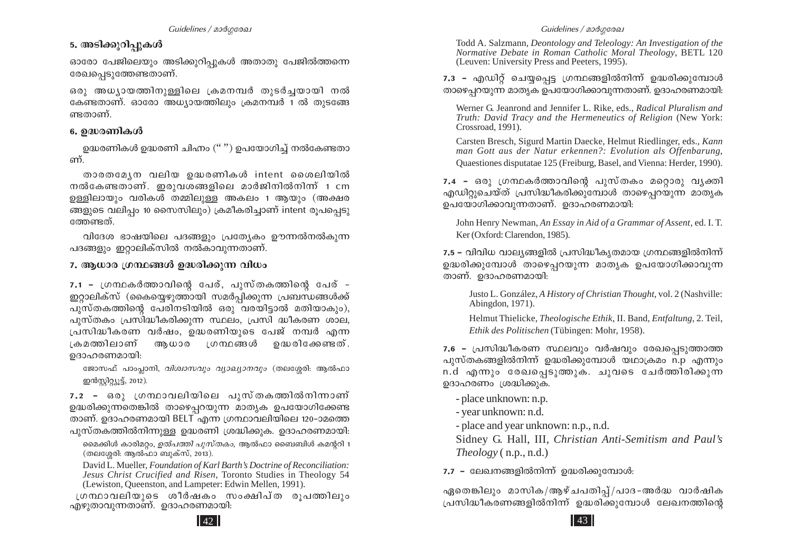## 5. അടിക്കുറി**പ്പുക**ൾ

ദാരോ പേജിലെയും അടിക്കൂറിപൂകൾ അതാതു പേജിൽത്തന്നെ രേഖപ്പെടുത്തേണ്ടതാണ്.

ഒരു അധൃായത്തിനുള്ളിലെ ക്രമനമ്പർ തുടർച്ചയായി നൽ കേണ്ടതാണ്. ഓരോ അധ്യായത്തിലും ക്രമനമ്പർ 1 ൽ തുടങ്ങേ ണ്ടതാണ്.

#### *6. D≤cWnIƒ*

 $\Omega$ ളദ്ധരണികൾ ഉദ്ധരണി ചിഹ്നം  $($   $\ldots)$  ഉപയോഗിച്ച് നൽകേണ്ടതാ ണ്

താരതമ്യേന വലിയ ഉദ്ധരണികൾ intent ശൈലിയിൽ  $\overline{X}$ നൽകേണ്ടതാണ്. ഇരുവശങ്ങളിലെ മാർജിനിൽനിന് 1 cm ഉള്ളിലായും വരികൾ തമ്മിലുള്ള അകലം 1 ആയും (അക്ഷര ങ്ങളുടെ വലിപ്പം 10 സൈസിലും) ക്രമീകരിച്ചാണ് intent രൂപപ്പെടു ന്തേണ്ടത്.

ിന്ദേശ ഭാഷയിലെ പദങ്ങളും പ്രത്യേകം ഊന്നൽനൽകുന്ന പദങ്ങളും ഇറ്റാലിക്സിൽ നൽകാവുന്നതാണ്.

#### *7.* ആധാര ശ്രന്ഥങ്ങൾ ഉദ്ധരിക്കുന്ന വിധം

<u>7.1 - ഗ്രന്ഥകർത്താവിന്റെ പേര്, പുസ്തകത്തിന്റെ പേര് –</u> ` ഇറ്റാലിക്സ് (കൈയ്യെഴുത്തായി സമർപ്പിക്കുന്ന പ്രബന്ധങ്ങൾക്ക് പൂസ്തകത്തിന്റെ പേരിനടിയിൽ ഒരു വരയിട്ടാൽ മതിയാകും),  $\alpha$ ുസ്തകം പ്രസിദ്ധീകരിക്കുന്ന സ്ഥലം, പ്രസി ദ്ധീകരണ ശാല, (പസിദ്ധീകരണ വർഷം, ഉദ്ധരണിയുടെ പേജ് നമ്പർ എന്ന ∟കമത്തിലാണ് ആധാര ∟ഗനഥങ്ങൾ ഉദ്ധരിക്കേണ്ടത്. ഉദാഹരണമായി:

 $\epsilon$ ജാസഫ് പാംപ്ലാനി, *വിശ്വാസവും വ്യാഖ്യാനവും* (തലശ്ശേരി: ആൽഫാ ഇൻസ്റ്റിറ്റ്യൂട്ട്, 2012).

7.2 - ഒരു <u>ഗ്രന</u>ഥാവലിയിലെ പുസ്തകത്തിൽനിന്നാണ് ഉദ്ധരിക്കുന്നതെങ്കിൽ താഴെപ്പറയുന്ന മാതൃക ഉപയോഗിക്കേണ്ട താണ്. ഉദാഹരണമായി  $BELT^-$ എന്ന ഗ്രന്ഥാവലിയിലെ 120–ാമത്തെ പുസ്തകത്തിൽനിന്നുള്ള ഉദ്ധരണി ശ്രദ്ധിക്കുക. ഉദാഹരണമായി:

മൈക്കിൾ കാരിമറ്റം, *ഉൽപത്തി പുസ്തകം*, ആൽഫാ ബൈബിൾ കമന്ററി 1 (തലശ്ശേരി: ആൽഫാ ബുക്സ്, 2013).

David L. Mueller, *Foundation of Karl Barth's Doctrine of Reconciliation: Jesus Christ Crucified and Risen*, Toronto Studies in Theology 54 (Lewiston, Queenston, and Lampeter: Edwin Mellen, 1991).

്രഗന്ഥാവലിയുടെ ശീർഷകം സംക്ഷിപ്ത രൂപത്തിലും<br>എഴുതാവുന്നതാണ്. ഉദാഹരണമായി:

Todd A. Salzmann, *Deontology and Teleology: An Investigation of the Normative Debate in Roman Catholic Moral Theology*, BETL 120 (Leuven: University Press and Peeters, 1995).

7.3 − എഡിറ്റ് ചെയ്യപ്പെട്ട ഗ്രന്ഥങ്ങളിൽനിന്ന് ഉദ്ധരിക്കുമ്പോൾ താഴെപ്പറയുന്ന മാതൃക ഉപയോഗിക്കാവുന്നതാണ്. ഉദാഹരണമായി:

Werner G. Jeanrond and Jennifer L. Rike, eds., *Radical Pluralism and Truth: David Tracy and the Hermeneutics of Religion* (New York: Crossroad, 1991).

Carsten Bresch, Sigurd Martin Daecke, Helmut Riedlinger, eds., *Kann man Gott aus der Natur erkennen?: Evolution als Offenbarung*, Quaestiones disputatae 125 (Freiburg, Basel, and Vienna: Herder, 1990).

<u>7.4 - ഒരു ഗ്രന്ഥകർത്താവിന്റെ പുസ്തകം മറ്റൊരു വൃക്തി</u> എഡിറ്റുചെയ്ത് പ്രസിദ്ധീകരിക്കുമ്പോൾ താഴെപറയുന്ന മാതൃക ഉപയോഗിക്കാവുന്നതാണ്. ഉദാഹരണമായി<del>.</del>

John Henry Newman, *An Essay in Aid of a Grammar of Assent*, ed. I. T. Ker (Oxford: Clarendon, 1985).

7.5 − വിവിധ വാല്യങ്ങളിൽ പ്രസിദ്ധീകൃതമായ ഗ്രന്ഥങ്ങളിൽനിന്ന് ഉദ്ധരിക്കുമ്പോൾ താഴെപ്പറയുന്ന മാതൃക ഉപയോഗിക്കാവുന്ന താണ്. മദാഹരണമായി:

Justo L. González, *A History of Christian Thought*, vol. 2 (Nashville: Abingdon, 1971).

Helmut Thielicke, *Theologische Ethik*, II. Band, *Entfaltung*, 2. Teil, *Ethik des Politischen* (Tübingen: Mohr, 1958).

7.6 − പ്രസിദ്ധീകരണ സ്ഥലവും വർഷവും രേഖപ്പെടുത്താത്ത പൂസ്തകങ്ങളിൽനിന്ന് ഉദ്ധരിക്കുമ്പോൾ യഥാക്രമം n.p എന്നും n.d എന്നും രേഖപ്പെടുത്തുക. ചുവടെ ചേർത്തിരിക്കുന്ന ഉദാഹരണം (ശദ്ധിക്കുക.

- place unknown: n.p.

- year unknown: n.d.

- place and year unknown: n.p., n.d.

Sidney G. Hall, III, *Christian Anti-Semitism and Paul's Theology* ( n.p., n.d.)

**7.7 − ലേഖനങ്ങളിൽനിന്ന് ഉദ്ധരിക്കുമ്പോൾ:** 

ഏതെങ്കിലും മാസിക/ആഴ്ചപതിപ്പ്/പാദ-അർദ്ധ വാർഷിക ്രപസിദ്ധീകരണങ്ങളിൽനിന്ന് ഉദ്ധരിക്കുമ്പോൾ ലേഖനത്തിന്റെ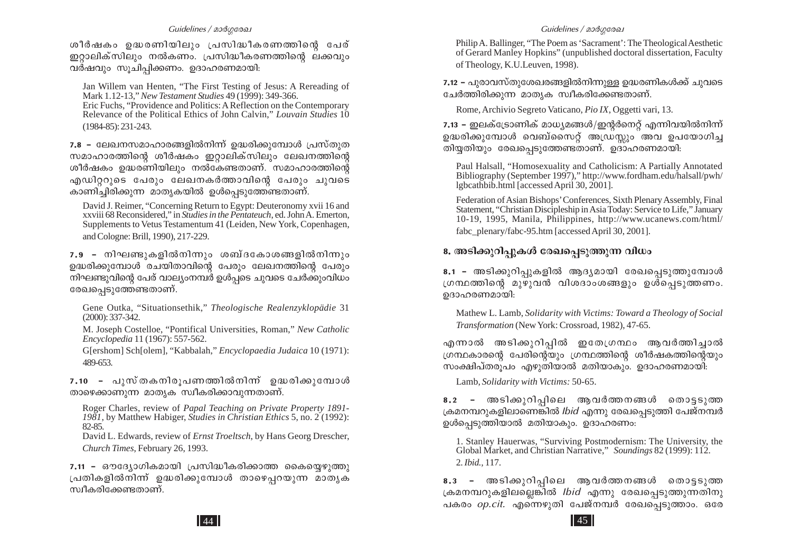#### Guidelines / മാർഗരേഖ

ശീർഷകം ഉദ്ധരണിയിലും പ്രസിദ്ധീകരണത്തിന്റെ പേര് ഇറ്റാലിക്സിലും നൽകണം. പ്രസിദ്ധീകരണത്തിന്റെ ലക്കവും വര്ഷവും സുചിപ്പിക്കണം. ഉദാഹരണമായി:

Jan Willem van Henten, "The First Testing of Jesus: A Rereading of Mark 1.12-13," New Testament Studies 49 (1999): 349-366.

Eric Fuchs, "Providence and Politics: A Reflection on the Contemporary Relevance of the Political Ethics of John Calvin," Louvain Studies 10  $(1984 - 85): 231 - 243.$ 

7.8 – ലേഖനസമാഹാരങ്ങളിൽനിന്ന് ഉദ്ധരിക്കുമ്പോൾ പ്രസ്തുത സമാഹാരത്തിന്റെ ശീർഷകം ഇറ്റാലിക്സിലും ലേഖനത്തിന്റെ ശീർഷകം ഉദ്ധരണിയിലും നൽകേണ്ടതാണ്. സമാഹാരത്തിന്റെ എഡിറ്ററുടെ പേരും ലേഖനകർത്താവിന്റെ പേരും ചുവടെ കാണിച്ചിരിക്കുന്ന മാതൃകയിൽ ഉൾപ്പെടുത്തേണ്ടതാണ്.

David J. Reimer, "Concerning Return to Egypt: Deuteronomy xvii 16 and xxviii 68 Reconsidered," in Studies in the Pentateuch, ed. John A. Emerton, Supplements to Vetus Testamentum 41 (Leiden, New York, Copenhagen, and Cologne: Brill, 1990), 217-229.

 $7.9$  - നിഘണ്ടുകളിൽനിന്നും ശബ്ദകോശങ്ങളിൽനിന്നും ഉദ്ധരിക്കുമ്പോൾ രചയിതാവിന്റെ പേരും ലേഖനത്തിന്റെ പേരും നിഘണ്ടുവിന്റെ പേര് വാല്യംനമ്പർ ഉൾപ്പടെ ചുവടെ ചേർക്കുംവിധം രേഖപ്പെടുത്തേണ്ടതാണ്.

Gene Outka, "Situationsethik," Theologische Realenzyklopädie 31  $(2000): 337-342.$ 

M. Joseph Costelloe, "Pontifical Universities, Roman," New Catholic *Encyclopedia* 11 (1967): 557-562.

G[ershom] Sch[olem], "Kabbalah," Encyclopaedia Judaica 10 (1971): 489-653.

7.10 - പുസ്തകനിരുപണത്തിൽനിന് ഉദ്ധരിക്കുമ്പോൾ താഴെക്കാണുന്ന മാതൃക സ്വീകരിക്കാവുന്നതാണ്.

Roger Charles, review of Papal Teaching on Private Property 1891-1981, by Matthew Habiger, Studies in Christian Ethics 5, no. 2 (1992): 82-85.

David L. Edwards, review of *Ernst Troeltsch*, by Hans Georg Drescher, Church Times, February 26, 1993.

7.11 - ഔദ്യോഗികമായി പ്രസിദ്ധീകരിക്കാത്ത കൈയ്യെഴുത്തു പ്രതികളിൽനിന്ന് ഉദ്ധരിക്കുമ്പോൾ താഴെപ്പറയുന്ന മാതൃക സ്വീകരിക്കേണ്ടതാണ്.

#### Guidelines / മാർഗരേഖ

Philip A. Ballinger, "The Poem as 'Sacrament': The Theological Aesthetic of Gerard Manley Hopkins" (unpublished doctoral dissertation, Faculty of Theology, K.U.Leuven, 1998).

7.12 – പുരാവസ്തുശേഖരങ്ങളിൽനിന്നുള്ള ഉദ്ധരണികൾക്ക് ചുവടെ ചേർത്തിരിക്കുന്ന മാതൃക സ്വീകരിക്കേണ്ടതാണ്.

Rome, Archivio Segreto Vaticano, Pio IX, Oggetti vari, 13.

7.13 – ഇലക്ട്രോണിക് മാധ്യമങ്ങൾ/ഇന്റർനെറ്റ് എന്നിവയിൽനിന്ന് ഉദ്ധരിക്കുമ്പോൾ വെബ്സൈറ്റ് അഡ്രസ്സും അവ ഉപയോഗിച്ച തിയ്യതിയും രേഖപ്പെടുത്തേണ്ടതാണ്. ഉദാഹരണമായി:

Paul Halsall, "Homosexuality and Catholicism: A Partially Annotated Bibliography (September 1997)," http://www.fordham.edu/halsall/pwh/ Igbcathbib.html [accessed April 30, 2001].

Federation of Asian Bishops' Conferences, Sixth Plenary Assembly, Final Statement, "Christian Discipleship in Asia Today: Service to Life," January 10-19, 1995, Manila, Philippines, http://www.ucanews.com/html/ fabc\_plenary/fabc-95.htm [accessed April 30, 2001].

#### 8. അടിക്കുറിപ്പുകൾ രേഖപ്പെടുത്തുന്ന വിധം

8.1 - അടിക്കുറിപ്പുകളിൽ ആദൃമായി രേഖപ്പെടുത്തുമ്പോൾ ഗ്രന്ഥത്തിന്റെ മുഴുവൻ വിശദാംശങ്ങളും ഉശ്പെടുത്തണം. ഉദാഹരണമായി:

Mathew L. Lamb, Solidarity with Victims: Toward a Theology of Social Transformation (New York: Crossroad, 1982), 47-65.

എന്നാൽ അടിക്കുറിപ്പിൽ ഇതേഗ്രന്ഥം ആവർത്തിച്ചാൽ ഗ്രന്ഥകാരന്റെ പേരിന്റെയും ഗ്രന്ഥത്തിന്റെ ശീർഷകത്തിന്റെയും സംക്ഷിപ്തരൂപം എഴുതിയാൽ മതിയാകും. ഉദാഹരണമായി:

Lamb, Solidarity with Victims: 50-65.

8.2 - അടിക്കുറിപ്പിലെ ആവർത്തനങ്ങൾ തൊട്ടടുത്ത ക്രമനമ്പറുകളിലാണെങ്കിൽ *Ibid* എന്നു രേഖപ്പെടുത്തി പേജ്നമ്പർ ഉൾപ്പെടുത്തിയാൽ മതിയാകും. ഉദാഹരണം:

1. Stanley Hauerwas, "Surviving Postmodernism: The University, the Global Market, and Christian Narrative," Soundings 82 (1999): 112. 2. *Ibid.*, 117.

8.3 - അടിക്കുറിപ്പിലെ ആവർത്തനങ്ങൾ തൊട്ടടുത്ത ക്രമനമ്പറുകളിലല്ലെങ്കിൽ *Ibid* എന്നു രേഖപ്പെടുത്തുന്നതിനു പകരം *op.cit.* എന്നെഴുതി പേജ്നമ്പർ രേഖപ്പെടുത്താം. ഒരേ

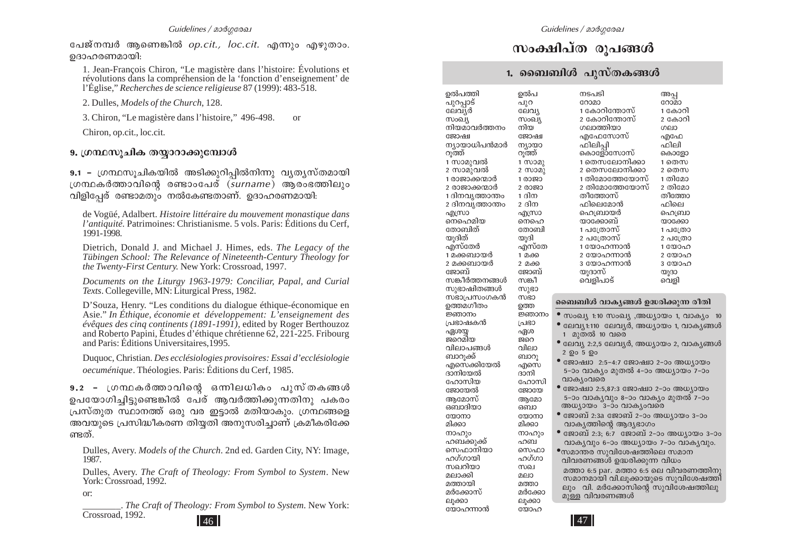പേജ്നമ്പർ ആണെങ്കിൽ *op.cit., loc.cit.* എന്നും എഴുതാം. ഉദാഹരണമായി:

1. Jean-François Chiron, "Le magistère dans l'histoire: Évolutions et révolutions dans la compréhension de la 'fonction d'enseignement' de l'Église," *Recherches de science religieuse* 87 (1999): 483-518.

2. Dulles, *Models of the Church*, 128.

3. Chiron, "Le magistère dans l'histoire," 496-498. or

Chiron, op.cit., loc.cit.

#### 9. ഗ്രന്ഥസൂചിക തയ്യാറാക്കുമ്പോൾ

**9.1 −** (ഗന്ഥസൂചികയിൽ അടിക്കൂറിപിൽനിന്നു വ്യത്യസ്തമായി {KŸI¿Ømhns' c≠mwt]cv (*surname*) Bcw`Ønepw വിളിപേര് രണ്ടാമതും നൽകേണ്ടതാണ്. ഉദാഹരണമായി:

de Vogüé, Adalbert. *Histoire littéraire du mouvement monastique dans l'antiquité.* Patrimoines: Christianisme. 5 vols. Paris: Éditions du Cerf, 1991-1998.

Dietrich, Donald J. and Michael J. Himes, eds. *The Legacy of the Tübingen School: The Relevance of Nineteenth-Century Theology for the Twenty-First Century.* New York: Crossroad, 1997.

*Documents on the Liturgy 1963-1979: Conciliar, Papal, and Curial Texts*. Collegeville, MN: Liturgical Press, 1982.

D'Souza, Henry. "Les conditions du dialogue éthique-économique en Asie." *In Éthique, économie et développement: L'enseignement des évêques des cinq continents (1891-1991),* edited by Roger Berthouzoz and Roberto Papini, Études d'éthique chrétienne 62, 221-225. Fribourg and Paris: Éditions Universitaires,1995.

Duquoc, Christian. *Des ecclésiologies provisoires: Essai d'ecclésiologie oecuménique*. Théologies. Paris: Éditions du Cerf, 1985.

*9.2 ˛* {KŸI¿Ømhns' H∂ne[nIw ]pkvXI߃ ഉപയോഗിച്ചിട്ടുണ്ടെങ്കിൽ പേര് ആവർത്തിക്കുന്നതിനു പകരം (പസ്തുത സ്ഥാനത്ത് ഒരു വര ഇട്ടാൽ മതിയാകും. ഗ്രന്ഥങ്ങളെ അവയുടെ പ്രസിദ്ധീകരണ തിയ്യതി അനുസരിച്ചാണ് ക്രമീകരിക്കേ ണ്ടത്.

Dulles, Avery. *Models of the Church*. 2nd ed. Garden City, NY: Image, 1987.

Dulles, Avery. *The Craft of Theology: From Symbol to System*. New York: Crossroad, 1992.

or:

 $46$  |  $47$ \_\_\_\_\_\_\_\_. *The Craft of Theology: From Symbol to System*. New York: Crossroad, 1992.

# സംക്ഷിപ്ത രൂപങ്ങൾ

#### 1. ബൈബിൾ പുസ്തകങ്ങൾ

ഉൽപ പുറ  $G$ elal സംഖ്യ നിയ $\,$ ജോഷ ന്യായാ<br>റുത്ത്  $1$   $(1000)$  $2 \text{ (} \text{10})$ 1 രാജാ 2 രാജാ  $1$  ദിന  $2 \,$ ദിന എന്ധ്രാ നെഹെ തോബി യുദി എസ്തേ 1 മക്ക 2 മക്ക ജോബ് സങ്കീ  $m$ )ദാ meso ഉത്ത ⁄m\w  $\overline{\phantom{a}}$ പ്രഭാ ഏശ ജറെ വിലാ ബാറ $_2$ എസെ ദാനി രേറാസി ജോതേ അമോ ഒബാ യോനാ മിക്കാ നാഹും ഹബ സെഫാ ഹഗ്ഗാ  $m$ aem മത്താ മർക്കോ ലുക്കാ യോഹ

ഉൽപത്തി പുറപ്പാട് ലേവ്യർ സംഖ്യ നിയമാവർത്തനം **Gegovan** ന്യായാധിപൻമാർ<br>റുത്ത് 1 സാമൂവൽ 2 സാമുവൽ 1 രാജാക്കന്മാർ 2 രാജാക്കന്മാർ 1 ദിനവ്യത്താന്തം  $2$  ദിനവ്യത്താന്തം എന്ധ്രാ നെഹെമിയ തോബിത് യുദിത് എസ്തേർ 1 മക്കബായർ 2 മക്കബായർ ജോബ് സങ്കീർത്തനങ്ങൾ സ്വഭാഷിതങ്ങൾ സഭാപ്രസംഗകൻ ഉത്തമഗീതം **ജ്ഞാനം** ്രചഭാഷകൻ ഏശയ്യ ജറെമിയ വിലാപങ്ങൾ ബാറുക്ക് എസെക്കിയേൽ ദാനിയേൽ ഹോസിയ ജോയേൽ അമോസ് ഒബാദിയാ യോനാ മിക്കാ നാഹും<br>ഹബക്കുക്ക് സെഫാനിയാ പറഗ്ഗായി സ്ഥിതാ മലാക്കി മത്തായി മർക്കോസ് ലുക്കാ യോഹന്നാൻ

| നടപടി<br>റോമാ<br>1 കോറിന്തോസ്<br>2 കോറിന്തോസ്<br>ഗലാത്തിയാ<br>എഫേസോസ്<br>ഫിലിപ്പി<br>കൊളോസോസ്<br>1 തെസലോനിക്കാ<br>2 തെസലോനിക്കാ<br>1 തിമോത്തേയോസ്<br>2 തിമോത്തേയോസ്<br>തീത്തോസ്<br>ഫിലെമോൻ<br>ഹെബ്രായർ<br>യാക്കോബ്<br>1 പത്രോസ്<br>2 പത്രോസ്<br>1 യോഹന്നാൻ<br>2 യോഹന്നാൻ<br>3 യോഹന്നാൻ<br>യുദാസ് | അപ്പ<br>റോമാ<br>1 കോറി<br>2 കോറി<br>ഗലാ<br>എഫേ<br>ഫിലി<br>കൊളോ<br>1 തെസ<br>2 തെസ<br>1 തിമോ<br>2 തിമോ<br>തീത്തോ<br>ഫിലെ<br>ഹെബ്രാ<br>യാക്കോ<br>1 പത്രോ<br>2 പത്രോ<br>1 യോഹ<br>2 യോഹ<br>3 യോഹ<br>യുദാ |
|--------------------------------------------------------------------------------------------------------------------------------------------------------------------------------------------------------------------------------------------------------------------------------------------------|-----------------------------------------------------------------------------------------------------------------------------------------------------------------------------------------------------|
| വെളിപാട്                                                                                                                                                                                                                                                                                         | വെളി                                                                                                                                                                                                |
| ബൈബിൾ വാകൃങ്ങൾ ഉദ്ധരിക്കുന്ന രീതി                                                                                                                                                                                                                                                                |                                                                                                                                                                                                     |
| ● സംഖ്യ 1:10 സംഖ്യ ,അധ്യായം 1, വാക്യം<br>● ലേവൃ1:110 ലേവൃർ, അധ്യായം 1, വാകൃങ്ങൾ<br>1 മുതൽ 10 വരെ                                                                                                                                                                                                 | 10                                                                                                                                                                                                  |
| ● ലേവ്യ 2:2,5 ലേവ്യർ, അധ്യായം 2, വാക്യങ്ങൾ<br>2 ഉം 5 ഉം                                                                                                                                                                                                                                          |                                                                                                                                                                                                     |
| ● ജോഷ്വാ 2:5-4:7 ജോഷ്വാ 2-ാം അധ്യായം<br>5-ാം വാക്യം മുതൽ 4-ാം അധ്യായം 7-ാം<br>വാക്യംവരെ                                                                                                                                                                                                          |                                                                                                                                                                                                     |
| ● ജോഷ്വാ 2:5,87:3 ജോഷ്വാ 2-ാം അധ്യായം<br>5-ാം വാകൃവും 8-ാം വാകൃം മുതൽ 7-ാം<br>അധ്വാസം 3-ാപറിക് ഫലൈ                                                                                                                                                                                               |                                                                                                                                                                                                     |

- അധ്യായം 3-ാം വാകുംവം ● ജോബ് 2:3a ജോബ് 2-ാം അധ്യായം 3-ാം
- വാകൃത്തിന്റെ ആദ്യഭാഗം • tPm\_v 2:3; 6:7 tPm\_v 2˛mw A[ymbw 3˛mw വാകൃവും 6-ാം അധ്യായം 7-ാം വാകൃവും.

 $\bullet$ സമാന്തര സുവിശേഷത്തിലെ സമാന വിവരണങ്ങൾ ഉദ്ധരിക്കുന്ന വിധം മത്താ 6:5 par. മത്താ 6:5 ലെ വിവരണത്തിനു kaman han.embooy is kuphalawan hulu mahalang kama hang ang ang mga kama hang ang ang ang ang ang ang ang ang a ലും വി. മർക്കോസിന്റെ ്സുവിശേഷത്തിലു<br>മുള്ള വിവരണങ്ങൾ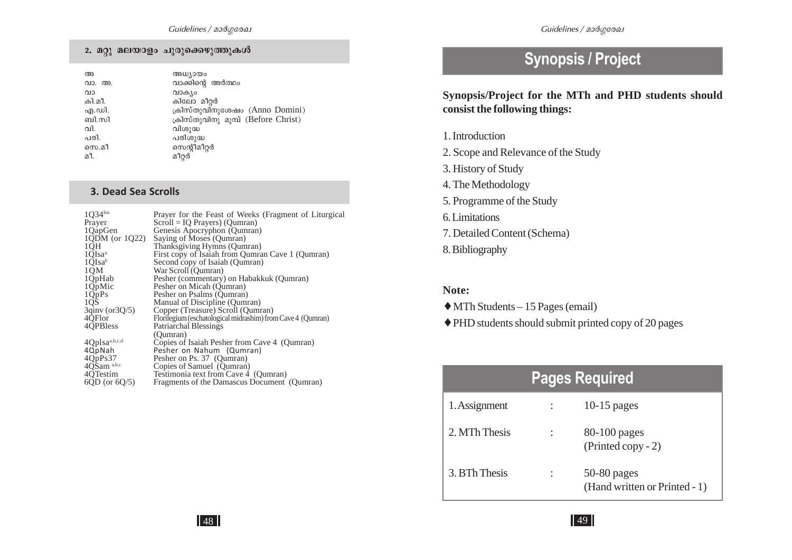| അ      | അധ്യായം                             |
|--------|-------------------------------------|
| വാ. അ. | വാക്കിന്റെ അർത്ഥം                   |
| വാ     | വാക്യം                              |
| കി.മീ. | കിലോ മീറർ                           |
| എ.ഡി.  | ക്രിസ്തുവിനുശേഷം (Anno Domini)      |
| ബി.സി  | ക്രിസ്തുവിനു മുമ്പ് (Before Christ) |
| വി.    | വിശുദ്ധ                             |
| പരി.   | പരിശുദ്ധ                            |
| സെ.മീ  | സെന്റീമീറ്റർ                        |
| മീ.    | മീറ്റർ                              |
|        |                                     |

#### **3. Dead Sea Scrolls**

| 1Q34bis             | Prayer for the Feast of Weeks (Fragment of Liturgical       |
|---------------------|-------------------------------------------------------------|
| Prayer              | $Scroll = IQ$ Prayers) (Qumran)                             |
| 1QapGen             | Genesis Apocryphon (Qumran)                                 |
| $1QDM$ (or $1Q22$ ) | Saying of Moses (Qumran)                                    |
| 1QH                 | Thanksgiving Hymns (Qumran)                                 |
| 1QIsa <sup>a</sup>  | First copy of Isaiah from Qumran Cave 1 (Qumran)            |
| 1QIsa <sup>b</sup>  | Second copy of Isaiah (Qumran)                              |
| 1QM                 | War Scroll (Qumran)                                         |
| 1QpHab              | Pesher (commentary) on Habakkuk (Qumran)                    |
| 1Q <sub>p</sub> Mic | Pesher on Micah (Qumran)                                    |
|                     | Pesher on Psalms (Qumran)                                   |
| $\frac{10}{10}$ Ps  | Manual of Discipline (Qumran)                               |
| 3qinv (or 3Q/5)     | Copper (Treasure) Scroll (Qumran)                           |
| 4QFlor              | Florilegium (eschatological midrashim) from Cave 4 (Qumran) |
| 4QPBless            | <b>Patriarchal Blessings</b>                                |
|                     | (Oumran)                                                    |
| 4Qplsaa,b,c,d       | Copies of Isaiah Pesher from Cave 4 (Qumran)                |
| 4QpNah              | Pesher on Nahum (Qumran)                                    |
| 4QpPs37             | Pesher on Ps. 37 (Qumran)                                   |
| 4QSam a,b,c         | Copies of Samuel (Qumran)                                   |
| 4QTestim            | Testimonia text from Cave 4 (Qumran)                        |
| $6QD$ (or $6Q/5$ )  | Fragments of the Damascus Document (Qumran)                 |
|                     |                                                             |

# **Synopsis / Project**

**Synopsis/Project for the MTh and PHD students should consist the following things:**

- 1. Introduction
- 2. Scope and Relevance of the Study
- 3. History of Study
- 4. The Methodology
- 5. Programme of the Study
- 6. Limitations
- 7. Detailed Content (Schema)
- 8. Bibliography

#### **Note:**

- ♦ MTh Students 15 Pages (email)
- ♦ PHD students should submit printed copy of 20 pages

# **Pages Required**

| 1. Assignment | $10-15$ pages                                  |
|---------------|------------------------------------------------|
| 2. MTh Thesis | $80-100$ pages<br>$(Printed copy - 2)$         |
| 3. BTh Thesis | $50-80$ pages<br>(Hand written or Printed - 1) |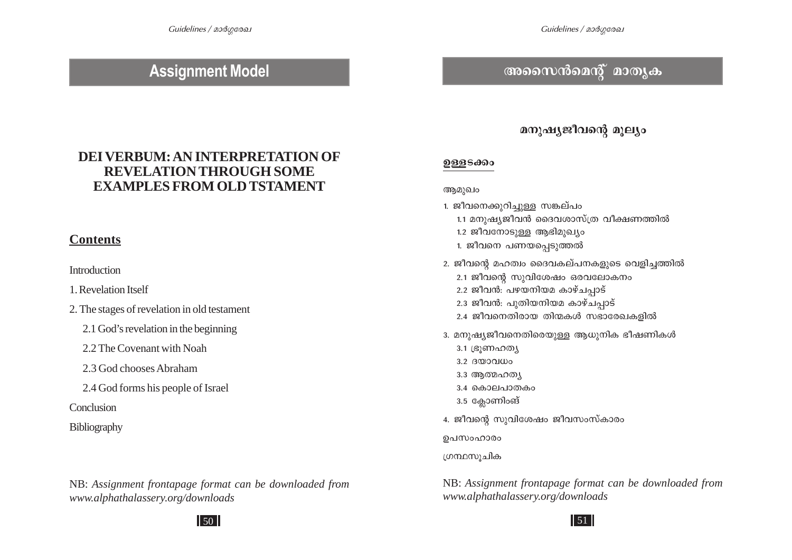# **Assignment Model**

# ® *an* and *an* and *as* an am×and *as* an

## **DEI VERBUM: AN INTERPRETATION OF REVELATION THROUGH SOME EXAMPLES FROM OLD TSTAMENT**

## **Contents**

**Introduction** 

1. Revelation Itself

- 2. The stages of revelation in old testament
	- 2.1 God's revelation in the beginning

2.2 The Covenant with Noah

- 2.3 God chooses Abraham
- 2.4 God forms his people of Israel

Conclusion

#### **Bibliography**

NB: *Assignment frontapage format can be downloaded from www.alphathalassery.org/downloads*

# *a*നുഷ്യജീവന്റെ മൂല്യം

#### *D≈-S°w*

#### ആമുഖം

- 1. ജീവനെക്കുറിച്ചുള്ള സങ്കല്പം
	- 1.1 മനുഷ്യജീവൻ ദൈവശാസ്ത്ര വീക്ഷണത്തിൽ
	- 1.2 ജീവനോടുള്ള ആഭിമുഖ്യം
	- 1. ജീവനെ പണയപ്പെടുത്തൽ
- 2. ജീവന്റെ മഹത്വം ദൈവകല്പനകളുടെ വെളിച്ചത്തിൽ
	- 2.1 ജീവന്റെ സുവിശേഷം ഒരവലോകനം
	- 2.2 ജീവൻ: പഴയനിയമ കാഴ്ചപ്പാട്
	- 2.3 ജീവൻ: പുതിയനിയമ കാഴ്ചപ്പാട്
	- 2.4 ജീവനെതിരായ തിന്മകൾ സഭാരേഖകളിൽ
- 3. മനുഷ്യജീവനെതിരെയുള്ള ആധുനിക ഭീഷണികൾ
	- 3.1 (ഭൂണഹത്യ
	- $3.2$   $\beta$ <sub>0</sub> $\beta$  $\alpha$  $\beta$  $\alpha$  $\beta$
	- $3.3$  ആത്മഹത്യ
	- $3.4$  കൊലപാതകം
	- 3.5 ക്ലോണിംങ്
- 4. ജീവന്റെ സുവിശേഷം ജീവസംസ്കാരം

ഉപസംഹാരം

്രന്ഥസുചിക

NB: *Assignment frontapage format can be downloaded from www.alphathalassery.org/downloads*

 $50$   $\vert$  51

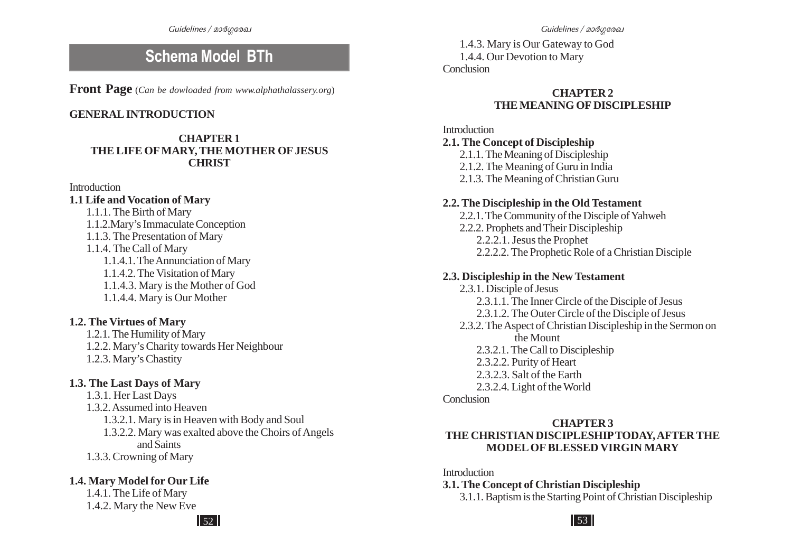**Front Page** (*Can be dowloaded from www.alphathalassery.org*)

#### **GENERAL INTRODUCTION**

#### **CHAPTER 1 THE LIFE OF MARY, THE MOTHER OF JESUS CHRIST**

**Introduction** 

#### **1.1 Life and Vocation of Mary**

#### 1.1.1. The Birth of Mary 1.1.2.Mary's Immaculate Conception 1.1.3. The Presentation of Mary 1.1.4. The Call of Mary 1.1.4.1. The Annunciation of Mary 1.1.4.2. The Visitation of Mary 1.1.4.3. Mary is the Mother of God 1.1.4.4. Mary is Our Mother

#### **1.2. The Virtues of Mary**

1.2.1. The Humility of Mary 1.2.2. Mary's Charity towards Her Neighbour 1.2.3. Mary's Chastity

#### **1.3. The Last Days of Mary**

1.3.1. Her Last Days 1.3.2. Assumed into Heaven 1.3.2.1. Mary is in Heaven with Body and Soul 1.3.2.2. Mary was exalted above the Choirs of Angels and Saints 1.3.3. Crowning of Mary

#### **1.4. Mary Model for Our Life**

1.4.1. The Life of Mary 1.4.2. Mary the New Eve

 $52$   $\vert$  53

**Schema Model BTh** 1.4.3. Mary is Our Gateway to God<br>1.4.4. Our Devotion to Mary **Conclusion** 

#### **CHAPTER 2 THE MEANING OF DISCIPLESHIP**

#### Introduction

#### **2.1. The Concept of Discipleship**

- 2.1.1. The Meaning of Discipleship
- 2.1.2. The Meaning of Guru in India
- 2.1.3. The Meaning of Christian Guru

#### **2.2. The Discipleship in the Old Testament**

- 2.2.1. The Community of the Disciple of Yahweh
- 2.2.2. Prophets and Their Discipleship
	- 2.2.2.1. Jesus the Prophet
	- 2.2.2.2. The Prophetic Role of a Christian Disciple

#### **2.3. Discipleship in the New Testament**

- 2.3.1. Disciple of Jesus 2.3.1.1. The Inner Circle of the Disciple of Jesus 2.3.1.2. The Outer Circle of the Disciple of Jesus 2.3.2. The Aspect of Christian Discipleship in the Sermon on the Mount 2.3.2.1. The Call to Discipleship 2.3.2.2. Purity of Heart 2.3.2.3. Salt of the Earth
	- 2.3.2.4. Light of the World

#### **Conclusion**

#### **CHAPTER 3 THE CHRISTIAN DISCIPLESHIP TODAY, AFTER THE MODEL OF BLESSED VIRGIN MARY**

#### **Introduction**

#### **3.1. The Concept of Christian Discipleship**

3.1.1. Baptism is the Starting Point of Christian Discipleship

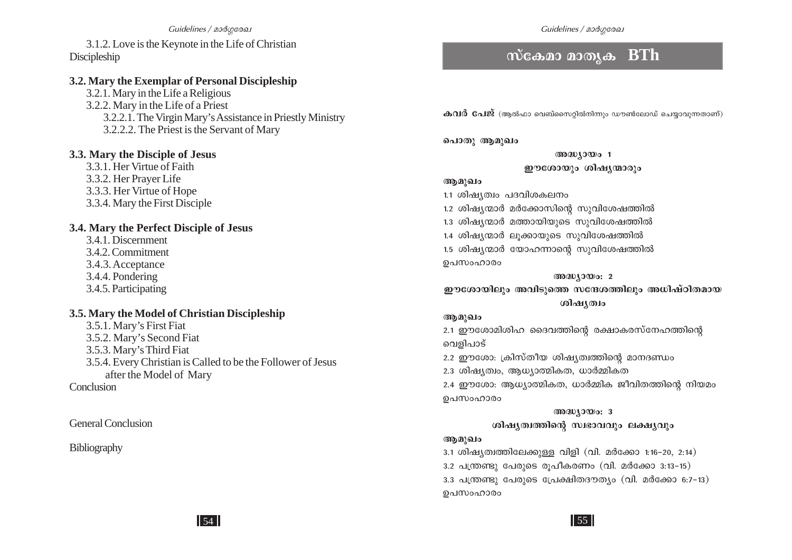#### Guidelines / മാർഗരേഖ

3.1.2. Love is the Keynote in the Life of Christian **Discipleship** 

#### 3.2. Mary the Exemplar of Personal Discipleship

3.2.1. Mary in the Life a Religious 3.2.2. Mary in the Life of a Priest 3.2.2.1. The Virgin Mary's Assistance in Priestly Ministry 3.2.2.2. The Priest is the Servant of Mary

#### 3.3. Mary the Disciple of Jesus

3.3.1. Her Virtue of Faith 3.3.2. Her Prayer Life 3.3.3. Her Virtue of Hope 3.3.4. Mary the First Disciple

#### 3.4. Mary the Perfect Disciple of Jesus

3.4.1. Discernment 3.4.2. Commitment 3.4.3. Acceptance 3.4.4. Pondering 3.4.5. Participating

#### 3.5. Mary the Model of Christian Discipleship

3.5.1. Mary's First Fiat 3.5.2. Mary's Second Fiat 3.5.3. Mary's Third Fiat 3.5.4. Every Christian is Called to be the Follower of Jesus after the Model of Mary

Conclusion

**General Conclusion** 

#### Bibliography

## $\overline{\text{mca}}$ മാ മാതൃക $\overline{\text{BTh}}$

 $\boldsymbol{\omega}$ വർ പേജ് (ആൽഫാ വെബ്സൈറിൽനിന്നും ഡൗൺലോഡ് ചെയാവുന്നതാണ്)

പൊതു ആമുഖം

അദ്ധ്യായം 1 ഈശോയും ശിഷ്യന്മാരും

#### ആമുഖം

1.1 ശിഷ്യത്വം പദവിശകലനം

1.2 ശിഷ്യന്മാർ മർക്കോസിന്റെ സുവിശേഷത്തിൽ

1.3 ശിഷ്യന്മാർ മത്തായിയുടെ സുവിശേഷത്തിൽ

1.4 ശിഷ്യന്മാർ ലുക്കായുടെ സുവിശേഷത്തിൽ

1.5 ശിഷ്യന്മാർ യോഹന്നാന്റെ സുവിശേഷത്തിൽ ഉപസംഹാരം

#### $@0@0J0@0:2$

ഈശോയിലും അവിടുത്തെ സന്ദേശത്തിലും അധിഷ്ഠിതമായ ശിഷ്യത്വം

#### ആമുഖം

2.1 ഈശോമിശിഹ ദൈവത്തിന്റെ രക്ഷാകരസ്നേഹത്തിന്റെ വെളിപാട്

2.2 ഈശോ: ക്രിസ്തീയ ശിഷ്യത്വത്തിന്റെ മാനദണ്ഡം

2.3 ശിഷ്യത്വം, ആധ്യാത്മികത, ധാർമ്മികത

2.4 ഈശോ: ആധ്യാത്മികത, ധാർമ്മിക ജീവിതത്തിന്റെ നിയമം ഉപസംഹാരം

> $@0@0J0@0:3$ ശിഷ്യത്വത്തിന്റെ സ്വഭാവവും ലക്ഷ്യവും

#### ആമുഖം

 $3.1$  ശിഷ്യത്വത്തിലേക്കുള്ള വിളി (വി. മർക്കോ 1:16-20, 2:14) 3.2 പന്ത്രണ്ടു പേരുടെ രൂപീകരണം (വി. മർക്കോ 3:13-15)

3.3 പന്ത്രണ്ടു പേരുടെ പ്രേക്ഷിതദൗത്യം (വി. മർക്കോ 6:7-13) ഉപസംഹാരം

 $\vert$  54  $\vert$ 

 $\vert$  55  $\vert$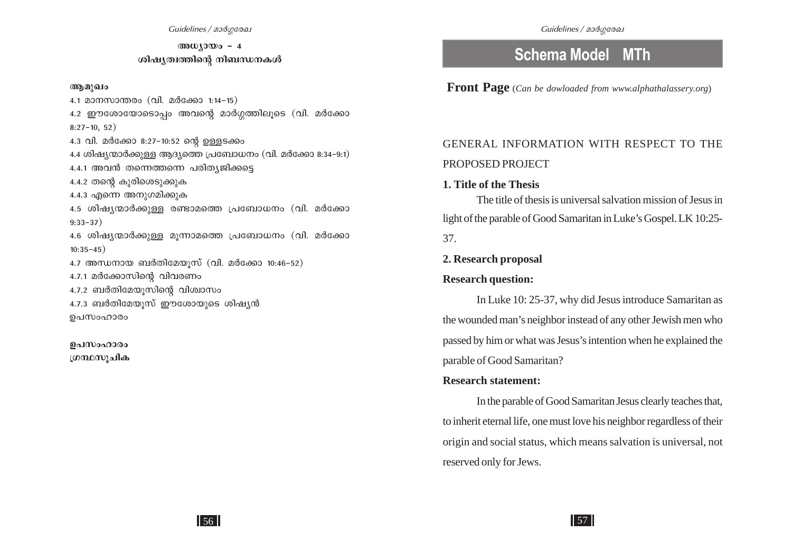**Manutage - 4** *v*olay@nomolong mlanuw.masud

#### **Bapa**

 $4.1$  മാനസാന്തരം (വി. മർക്കോ 1:14-15) 4.2 ഈശോയോടൊപ്പം അവന്റെ മാർഗ്ഗത്തിലൂടെ (വി. മർക്കോ  $8:27-10, 52)$ 4.3 വി. മർക്കോ 8:27-10:52 ന്റെ ഉള്ളടക്കം 4.4 ശിഷ്യന്മാർക്കുള്ള ആദ്യത്തെ പ്രബോധനം (വി. മർക്കോ 8:34-9:1) 4.4.1 അവൻ തന്നെത്തന്നെ പരിത്യജിക്കട്ടെ  $4.4.2$  തന്റെ കുരിശെടുക്കുക 4.4.3 എന്നെ അനുഗമിക്കുക  $4.5$  ശിഷ്യന്മാർക്കുള്ള രണ്ടാമത്തെ പ്രബോധനം (വി. മർക്കോ  $9:33-37$ )  $4.6$  ശിഷ്യന്മാർക്കുള്ള മുന്നാമത്തെ പ്രബോധനം (വി. മർക്കോ  $10:35 - 45)$  $4.7$  അന്ധനായ ബർതിമേയൂസ് (വി. മർക്കോ 10:46-52)  $4.7.1$  മർക്കോസിന്റെ വിവരണം  $4.7.2$  ബർതിമേയുസിന്റെ വിശ്വാസം  $4.7.3$  ബർതിമേയുസ് ഈശോയുടെ ശിഷ്യൻ ഉപസംഹാരം

ഉപസംഹാരം <u>ഗ്രന്ഥസുചിക</u>

# **Schema Model MTh**

 **Front Page** (*Can be dowloaded from www.alphathalassery.org*)

# GENERAL INFORMATION WITH RESPECT TO THE PROPOSED PROJECT

#### **1. Title of the Thesis**

The title of thesis is universal salvation mission of Jesus in light of the parable of Good Samaritan in Luke's Gospel. LK 10:25- 37.

#### **2. Research proposal**

#### **Research question:**

In Luke 10: 25-37, why did Jesus introduce Samaritan as the wounded man's neighbor instead of any other Jewish men who passed by him or what was Jesus's intention when he explained the parable of Good Samaritan?

#### **Research statement:**

In the parable of Good Samaritan Jesus clearly teaches that, to inherit eternal life, one must love his neighbor regardless of their origin and social status, which means salvation is universal, not reserved only for Jews.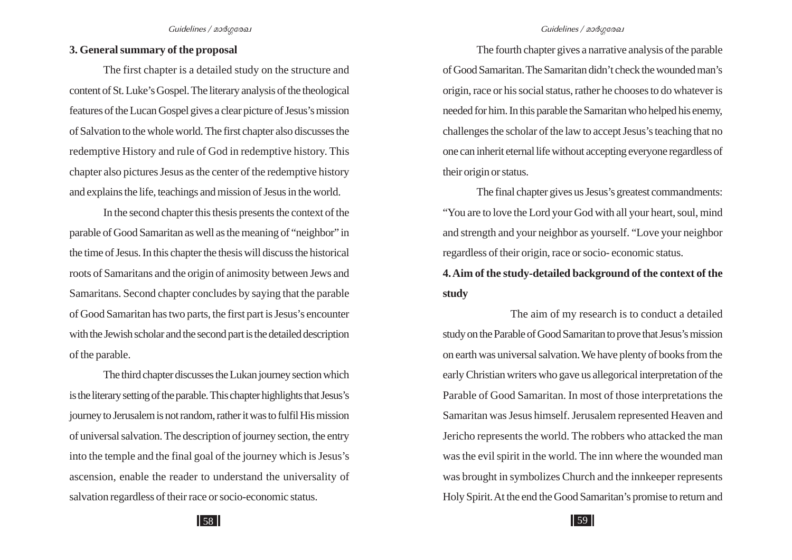#### **3. General summary of the proposal**

The first chapter is a detailed study on the structure and content of St. Luke's Gospel. The literary analysis of the theological features of the Lucan Gospel gives a clear picture of Jesus's mission of Salvation to the whole world. The first chapter also discusses the redemptive History and rule of God in redemptive history. This chapter also pictures Jesus as the center of the redemptive history and explains the life, teachings and mission of Jesus in the world.

In the second chapter this thesis presents the context of the parable of Good Samaritan as well as the meaning of "neighbor" in the time of Jesus. In this chapter the thesis will discuss the historical roots of Samaritans and the origin of animosity between Jews and Samaritans. Second chapter concludes by saying that the parable of Good Samaritan has two parts, the first part is Jesus's encounter with the Jewish scholar and the second part is the detailed description of the parable.

The third chapter discusses the Lukan journey section which is the literary setting of the parable. This chapter highlights that Jesus's journey to Jerusalem is not random, rather it was to fulfil His mission of universal salvation. The description of journey section, the entry into the temple and the final goal of the journey which is Jesus's ascension, enable the reader to understand the universality of salvation regardless of their race or socio-economic status.

The fourth chapter gives a narrative analysis of the parable of Good Samaritan. The Samaritan didn't check the wounded man's origin, race or his social status, rather he chooses to do whatever is needed for him. In this parable the Samaritan who helped his enemy, challenges the scholar of the law to accept Jesus's teaching that no one can inherit eternal life without accepting everyone regardless of their origin or status.

The final chapter gives us Jesus's greatest commandments: "You are to love the Lord your God with all your heart, soul, mind and strength and your neighbor as yourself. "Love your neighbor regardless of their origin, race or socio- economic status.

**4. Aim of the study-detailed background of the context of the study**

The aim of my research is to conduct a detailed study on the Parable of Good Samaritan to prove that Jesus's mission on earth was universal salvation. We have plenty of books from the early Christian writers who gave us allegorical interpretation of the Parable of Good Samaritan. In most of those interpretations the Samaritan was Jesus himself. Jerusalem represented Heaven and Jericho represents the world. The robbers who attacked the man was the evil spirit in the world. The inn where the wounded man was brought in symbolizes Church and the innkeeper represents Holy Spirit. At the end the Good Samaritan's promise to return and

58 | 59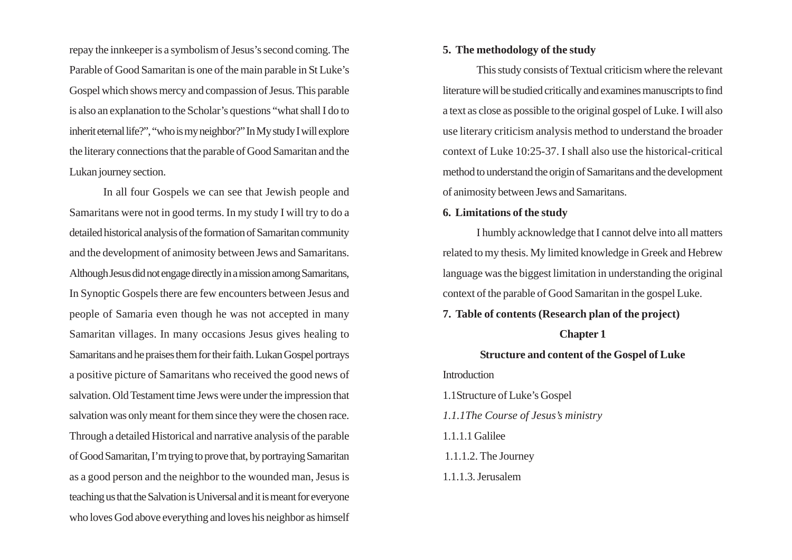repay the innkeeper is a symbolism of Jesus's second coming. The Parable of Good Samaritan is one of the main parable in St Luke's Gospel which shows mercy and compassion of Jesus. This parable is also an explanation to the Scholar's questions "what shall I do to inherit eternal life?", "who is my neighbor?" In My study I will explore the literary connections that the parable of Good Samaritan and the Lukan journey section.

In all four Gospels we can see that Jewish people and Samaritans were not in good terms. In my study I will try to do a detailed historical analysis of the formation of Samaritan community and the development of animosity between Jews and Samaritans. Although Jesus did not engage directly in a mission among Samaritans, In Synoptic Gospels there are few encounters between Jesus and people of Samaria even though he was not accepted in many Samaritan villages. In many occasions Jesus gives healing to Samaritans and he praises them for their faith. Lukan Gospel portrays a positive picture of Samaritans who received the good news of salvation. Old Testament time Jews were under the impression that salvation was only meant for them since they were the chosen race. Through a detailed Historical and narrative analysis of the parable of Good Samaritan, I'm trying to prove that, by portraying Samaritan as a good person and the neighbor to the wounded man, Jesus is teaching us that the Salvation is Universal and it is meant for everyone who loves God above everything and loves his neighbor as himself

#### **5. The methodology of the study**

This study consists of Textual criticism where the relevant literature will be studied critically and examines manuscripts to find a text as close as possible to the original gospel of Luke. I will also use literary criticism analysis method to understand the broader context of Luke 10:25-37. I shall also use the historical-critical method to understand the origin of Samaritans and the development of animosity between Jews and Samaritans.

#### **6. Limitations of the study**

I humbly acknowledge that I cannot delve into all matters related to my thesis. My limited knowledge in Greek and Hebrew language was the biggest limitation in understanding the original context of the parable of Good Samaritan in the gospel Luke.

**7. Table of contents (Research plan of the project)**

#### **Chapter 1**

**Structure and content of the Gospel of Luke**

**Introduction** 

1.1Structure of Luke's Gospel *1.1.1The Course of Jesus's ministry* 1.1.1.1 Galilee 1.1.1.2. The Journey 1.1.1.3. Jerusalem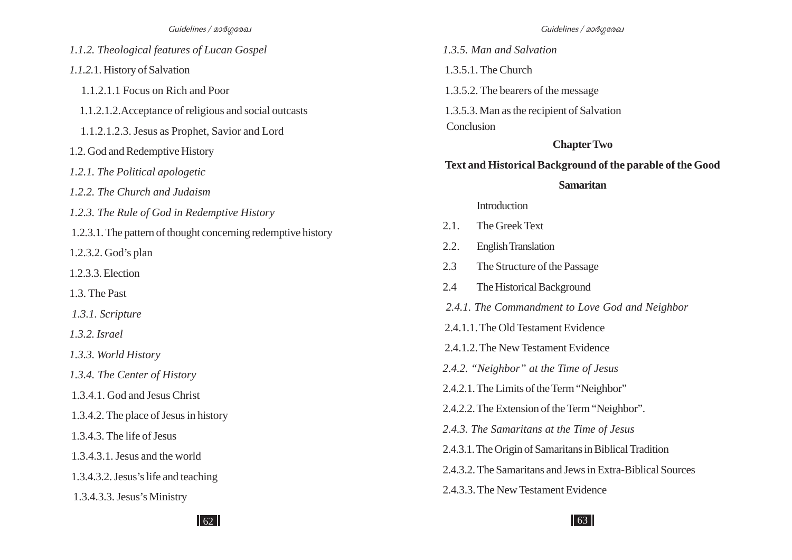*1.1.2. Theological features of Lucan Gospel 1.1.2.*1. History of Salvation 1.1.2.1.1 Focus on Rich and Poor 1.1.2.1.2.Acceptance of religious and social outcasts 1.1.2.1.2.3. Jesus as Prophet, Savior and Lord 1.2. God and Redemptive History *1.2.1. The Political apologetic 1.2.2. The Church and Judaism 1.2.3. The Rule of God in Redemptive History* 1.2.3.1. The pattern of thought concerning redemptive history 1.2.3.2. God's plan 1.2.3.3. Election 1.3. The Past  *1.3.1. Scripture 1.3.2. Israel 1.3.3. World History 1.3.4. The Center of History* 1.3.4.1. God and Jesus Christ 1.3.4.2. The place of Jesus in history 1.3.4.3. The life of Jesus 1.3.4.3.1. Jesus and the world 1.3.4.3.2. Jesus's life and teaching 1.3.4.3.3. Jesus's Ministry

*1.3.5. Man and Salvation*

1.3.5.1. The Church

1.3.5.2. The bearers of the message

 1.3.5.3. Man as the recipient of Salvation Conclusion

### **Chapter Two**

#### **Text and Historical Background of the parable of the Good**

#### **Samaritan**

#### Introduction

- 2.1. The Greek Text
- 2.2. English Translation
- 2.3 The Structure of the Passage
- 2.4 The Historical Background
- *2.4.1. The Commandment to Love God and Neighbor*
- 2.4.1.1. The Old Testament Evidence
- 2.4.1.2. The New Testament Evidence
- *2.4.2. "Neighbor" at the Time of Jesus*
- 2.4.2.1. The Limits of the Term "Neighbor"
- 2.4.2.2. The Extension of the Term "Neighbor".
- *2.4.3. The Samaritans at the Time of Jesus*
- 2.4.3.1. The Origin of Samaritans in Biblical Tradition
- 2.4.3.2. The Samaritans and Jews in Extra-Biblical Sources
- 2.4.3.3. The New Testament Evidence

 $\frac{62}{163}$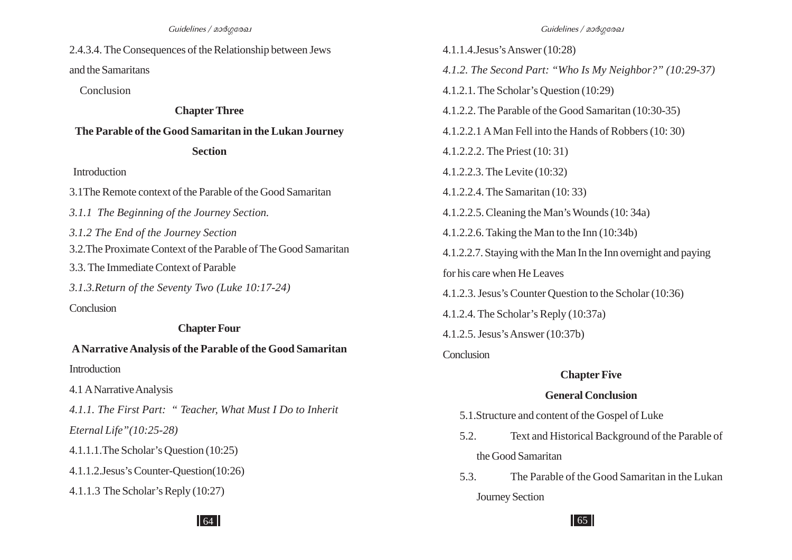2.4.3.4. The Consequences of the Relationship between Jews and the Samaritans

Conclusion

#### **Chapter Three**

#### **The Parable of the Good Samaritan in the Lukan Journey**

#### **Section**

Introduction

- 3.1The Remote context of the Parable of the Good Samaritan
- *3.1.1 The Beginning of the Journey Section.*
- *3.1.2 The End of the Journey Section*
- 3.2.The Proximate Context of the Parable of The Good Samaritan
- 3.3. The Immediate Context of Parable
- *3.1.3.Return of the Seventy Two (Luke 10:17-24)*

**Conclusion** 

# **Chapter Four**

**A Narrative Analysis of the Parable of the Good Samaritan Introduction** 

4.1 A Narrative Analysis

*4.1.1. The First Part: " Teacher, What Must I Do to Inherit*

*Eternal Life"(10:25-28)*

- 4.1.1.1.The Scholar's Question (10:25)
- 4.1.1.2.Jesus's Counter-Question(10:26)
- 4.1.1.3 The Scholar's Reply (10:27)

4.1.1.4.Jesus's Answer (10:28) *4.1.2. The Second Part: "Who Is My Neighbor?" (10:29-37)* 4.1.2.1. The Scholar's Question (10:29) 4.1.2.2. The Parable of the Good Samaritan (10:30-35) 4.1.2.2.1 A Man Fell into the Hands of Robbers (10: 30) 4.1.2.2.2. The Priest (10: 31) 4.1.2.2.3. The Levite (10:32) 4.1.2.2.4. The Samaritan (10: 33) 4.1.2.2.5. Cleaning the Man's Wounds (10: 34a) 4.1.2.2.6. Taking the Man to the Inn (10:34b) 4.1.2.2.7. Staying with the Man In the Inn overnight and paying for his care when He Leaves 4.1.2.3. Jesus's Counter Question to the Scholar (10:36) 4.1.2.4. The Scholar's Reply (10:37a) 4.1.2.5. Jesus's Answer (10:37b) **Conclusion Chapter Five General Conclusion**

- 5.1.Structure and content of the Gospel of Luke
- 5.2. Text and Historical Background of the Parable of the Good Samaritan
- 5.3. The Parable of the Good Samaritan in the Lukan Journey Section

 $64$  |  $65$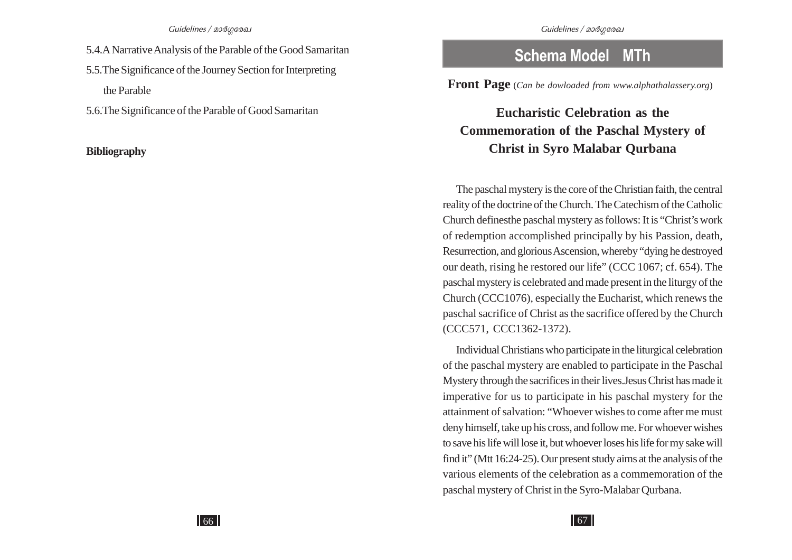- 5.4.A Narrative Analysis of the Parable of the Good Samaritan
- 5.5.The Significance of the Journey Section for Interpreting the Parable

5.6.The Significance of the Parable of Good Samaritan

#### **Bibliography**

# **Schema Model MTh**

**Front Page** (*Can be dowloaded from www.alphathalassery.org*)

# **Eucharistic Celebration as the Commemoration of the Paschal Mystery of Christ in Syro Malabar Qurbana**

The paschal mystery is the core of the Christian faith, the central reality of the doctrine of the Church. The Catechism of the Catholic Church definesthe paschal mystery as follows: It is "Christ's work of redemption accomplished principally by his Passion, death, Resurrection, and glorious Ascension, whereby "dying he destroyed our death, rising he restored our life" (CCC 1067; cf. 654). The paschal mystery is celebrated and made present in the liturgy of the Church (CCC1076), especially the Eucharist, which renews the paschal sacrifice of Christ as the sacrifice offered by the Church (CCC571, CCC1362-1372).

Individual Christians who participate in the liturgical celebration of the paschal mystery are enabled to participate in the Paschal Mystery through the sacrifices in their lives.Jesus Christ has made it imperative for us to participate in his paschal mystery for the attainment of salvation: "Whoever wishes to come after me must deny himself, take up his cross, and follow me. For whoever wishes to save his life will lose it, but whoever loses his life for my sake will find it" (Mtt 16:24-25). Our present study aims at the analysis of the various elements of the celebration as a commemoration of the paschal mystery of Christ in the Syro-Malabar Qurbana.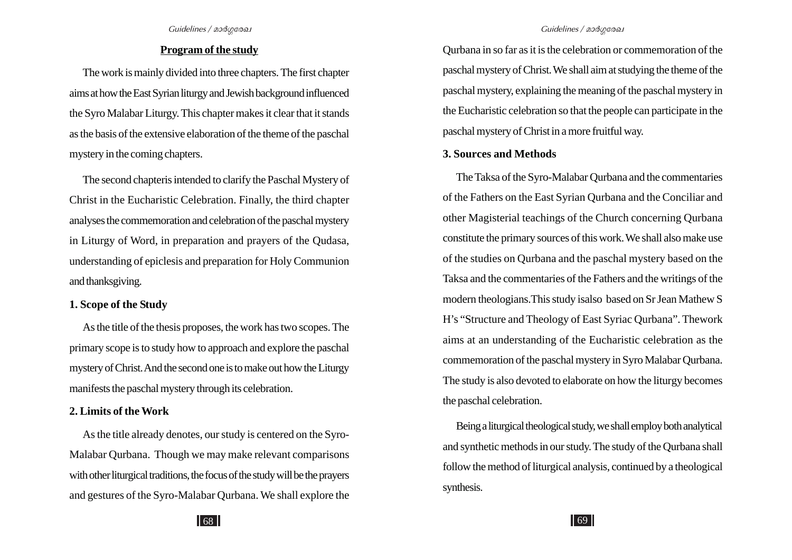#### **Program of the study**

The work is mainly divided into three chapters. The first chapter aims at how the East Syrian liturgy and Jewish background influenced the Syro Malabar Liturgy. This chapter makes it clear that it stands as the basis of the extensive elaboration of the theme of the paschal mystery in the coming chapters.

The second chapteris intended to clarify the Paschal Mystery of Christ in the Eucharistic Celebration. Finally, the third chapter analyses the commemoration and celebration of the paschal mystery in Liturgy of Word, in preparation and prayers of the Qudasa, understanding of epiclesis and preparation for Holy Communion and thanksgiving.

#### **1. Scope of the Study**

As the title of the thesis proposes, the work has two scopes. The primary scope is to study how to approach and explore the paschal mystery of Christ. And the second one is to make out how the Liturgy manifests the paschal mystery through its celebration.

#### **2. Limits of the Work**

As the title already denotes, our study is centered on the Syro-Malabar Qurbana. Though we may make relevant comparisons with other liturgical traditions, the focus of the study will be the prayers and gestures of the Syro-Malabar Qurbana. We shall explore the

Qurbana in so far as it is the celebration or commemoration of the paschal mystery of Christ. We shall aim at studying the theme of the paschal mystery, explaining the meaning of the paschal mystery in the Eucharistic celebration so that the people can participate in the paschal mystery of Christ in a more fruitful way.

#### **3. Sources and Methods**

The Taksa of the Syro-Malabar Qurbana and the commentaries of the Fathers on the East Syrian Qurbana and the Conciliar and other Magisterial teachings of the Church concerning Qurbana constitute the primary sources of this work. We shall also make use of the studies on Qurbana and the paschal mystery based on the Taksa and the commentaries of the Fathers and the writings of the modern theologians.This study isalso based on Sr Jean Mathew S H's "Structure and Theology of East Syriac Qurbana". Thework aims at an understanding of the Eucharistic celebration as the commemoration of the paschal mystery in Syro Malabar Qurbana. The study is also devoted to elaborate on how the liturgy becomes the paschal celebration.

Being a liturgical theological study, we shall employ both analytical and synthetic methods in our study. The study of the Qurbana shall follow the method of liturgical analysis, continued by a theological synthesis.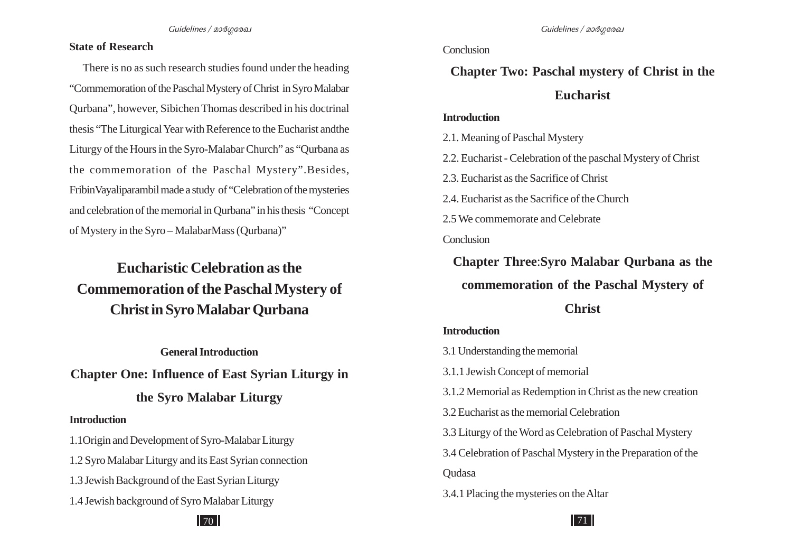#### **State of Research**

There is no as such research studies found under the heading "Commemoration of the Paschal Mystery of Christ in Syro Malabar Qurbana", however, Sibichen Thomas described in his doctrinal thesis "The Liturgical Year with Reference to the Eucharist andthe Liturgy of the Hours in the Syro-Malabar Church" as "Qurbana as the commemoration of the Paschal Mystery".Besides, FribinVayaliparambil made a study of "Celebration of the mysteries and celebration of the memorial in Qurbana" in his thesis "Concept of Mystery in the Syro – MalabarMass (Qurbana)"

# **Eucharistic Celebration as the Commemoration of the Paschal Mystery of Christ in Syro Malabar Qurbana**

**General Introduction**

**Chapter One: Influence of East Syrian Liturgy in**

## **the Syro Malabar Liturgy**

#### **Introduction**

1.1Origin and Development of Syro-Malabar Liturgy 1.2 Syro Malabar Liturgy and its East Syrian connection 1.3 Jewish Background of the East Syrian Liturgy 1.4 Jewish background of Syro Malabar Liturgy

#### **Conclusion**

# **Chapter Two: Paschal mystery of Christ in the Eucharist**

#### **Introduction**

2.1. Meaning of Paschal Mystery

2.2. Eucharist - Celebration of the paschal Mystery of Christ

2.3. Eucharist as the Sacrifice of Christ

2.4. Eucharist as the Sacrifice of the Church

2.5 We commemorate and Celebrate

**Conclusion** 

**Chapter Three**:**Syro Malabar Qurbana as the commemoration of the Paschal Mystery of Christ**

#### **Introduction**

3.1 Understanding the memorial

3.1.1 Jewish Concept of memorial

3.1.2 Memorial as Redemption in Christ as the new creation

3.2 Eucharist as the memorial Celebration

3.3 Liturgy of the Word as Celebration of Paschal Mystery

3.4 Celebration of Paschal Mystery in the Preparation of the **Oudasa** 

3.4.1 Placing the mysteries on the Altar

# $70$  ||  $\overline{1}$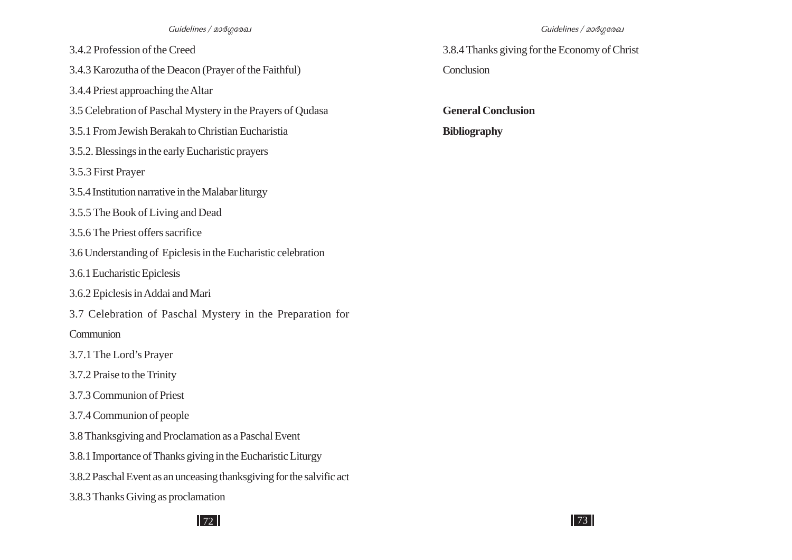- 3.4.2 Profession of the Creed
- 3.4.3 Karozutha of the Deacon (Prayer of the Faithful)
- 3.4.4 Priest approaching the Altar
- 3.5 Celebration of Paschal Mystery in the Prayers of Qudasa
- 3.5.1 From Jewish Berakah to Christian Eucharistia
- 3.5.2. Blessings in the early Eucharistic prayers
- 3.5.3 First Prayer
- 3.5.4 Institution narrative in the Malabar liturgy
- 3.5.5 The Book of Living and Dead
- 3.5.6 The Priest offers sacrifice
- 3.6 Understanding of Epiclesis in the Eucharistic celebration
- 3.6.1 Eucharistic Epiclesis
- 3.6.2 Epiclesis in Addai and Mari
- 3.7 Celebration of Paschal Mystery in the Preparation for
- **Communion**
- 3.7.1 The Lord's Prayer
- 3.7.2 Praise to the Trinity
- 3.7.3 Communion of Priest
- 3.7.4 Communion of people
- 3.8 Thanksgiving and Proclamation as a Paschal Event
- 3.8.1 Importance of Thanks giving in the Eucharistic Liturgy
- 3.8.2 Paschal Event as an unceasing thanksgiving for the salvific act
- 3.8.3 Thanks Giving as proclamation

3.8.4 Thanks giving for the Economy of Christ Conclusion

**General Conclusion Bibliography**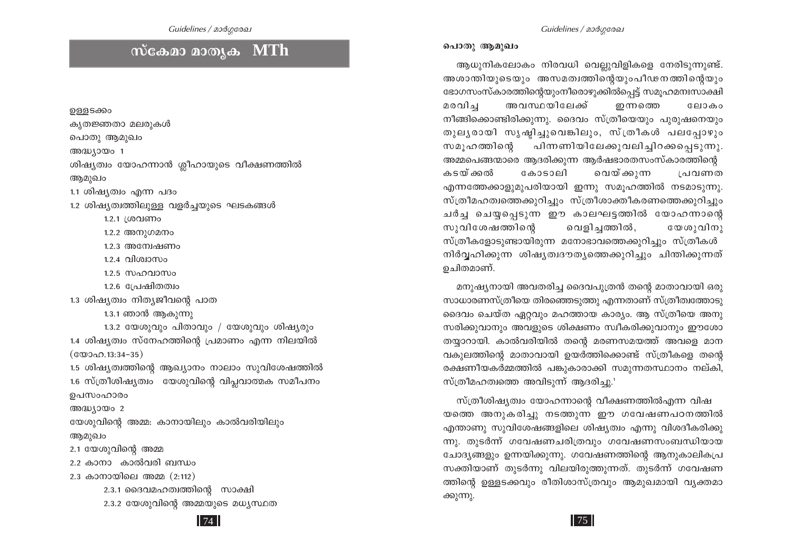## $\vert$  74  $\vert$

ഉള്ളടക്കം കൃതജ്ഞതാ മലരുകൾ പൊതു ആമുഖം അദ്ധ്യായം 1 ശിഷ്യത്വം യോഹന്നാൻ ശ്ലീഹായുടെ വീക്ഷണത്തിൽ ആമുഖം 1.1 ശിഷ്യത്വം എന്ന പദം 1.2 ശിഷ്യത്വത്തിലുള്ള വളർച്ചയുടെ ഘടകങ്ങൾ 1.2.1 ശ്രവണം 1.2.2 അനുഗമനം 1.2.3 അന്വേഷണം  $12.4$  വിശ്വാസം  $1.2.5$   $\mu$ angola $\mu$ o  $1.2.6$  പ്രേഷിതത്വം 1.3 ശിഷ്യത്വം നിത്യജീവന്റെ പാത 1.3.1 ഞാൻ ആകുന്നു  $1.3.2$  യേശുവും പിതാവും / യേശുവും ശിഷ്യരും 1.4 ശിഷ്യത്വം സ്നേഹത്തിന്റെ പ്രമാണം എന്ന നിലയിൽ  $(\text{\& } \mathcal{D} \cup \Omega \cap \Omega \cdot 13:34-35)$ 1.5 ശിഷ്യത്വത്തിന്റെ ആഖ്യാനം നാലാം സുവിശേഷത്തിൽ 1.6 സ്ത്രീശിഷ്യത്വം യേശുവിന്റെ വിപ്ലവാത്മക സമീപനം ഉപസംഹാരം അദ്ധ്യായം 2 യേശുവിന്റെ അമ്മ: കാനായിലും കാൽവരിയിലും ആമുഖം 2.1 യേശുവിന്റെ അമ്മ 2.2 കാനാ കാൽവരി ബന്ധം 2.3 കാനായിലെ അമ്മ  $(2:112)$ 2.3.1 ദൈവമഹത്വത്തിന്റെ സാക്ഷി 2.3.2 യേശുവിന്റെ അമ്മയുടെ മധ്യസ്ഥത

# സ്ക്ഷോ മാതൃക MTh

Guidelines / മാർഗരേഖ

#### പൊതു ആമുഖം

ആധുനികലോകം നിരവധി വെല്ലുവിളികളെ നേരിടുന്നുണ്ട്. അശാന്തിയുടെയും അസമത്വത്തിന്റെയുംപീഢനത്തിന്റെയും ഭോഗസംസ്കാരത്തിന്റെയുംനീരൊഴുക്കിൽപ്പെട്ട് സമൂഹമനഃസാക്ഷി മരവിച അവസ്ഥയിലേക്ക് ഇന്നത്ത<u>െ</u> ലോകം നീങ്ങിക്കൊണ്ടിരിക്കുന്നു. ദൈവം സ്ത്രീയെയും പുരുഷനെയും തുലൃരായി സൃഷ്ടിച്ചുവെങ്കിലും, സ്ത്രീകൾ പലപ്പോഴും പിന്നണിയിലേക്കുവലിച്ചിറക്കപ്പെടുന്നു. സമൂഹത്തിന്റെ അമ്മപെങ്ങന്മാരെ ആദരിക്കുന്ന ആർഷഭാരതസംസ്കാരത്തിന്റെ വെയ്ക്കുന്ന കടയ്ക്കൽ കോടാലി പ്രവണത എന്നത്തേക്കാളുമുപരിയായി ഇന്നു സമുഹത്തിൽ നടമാടുന്നു. സ്ത്രീമഹത്വത്തെക്കുറിച്ചും സ്ത്രീശാക്തീകരണത്തെക്കുറിച്ചും ചർച്ച ചെയ്യപ്പെടുന്ന ഈ കാലഘട്ടത്തിൽ യോഹന്നാന്റെ വെളിച്ചത്തിൽ, യേശുവിനു സുവിശേഷത്തിന്റെ സ്ത്രീകളോടുണ്ടായിരുന്ന മനോഭാവത്തെക്കുറിച്ചും സ്ത്രീകൾ നിർവ്വഹിക്കുന്ന ശിഷ്യത്വദൗത്യത്തെക്കുറിച്ചും ചിന്തിക്കുന്നത് ഉചിതമാണ്.

മനുഷ്യനായി അവതരിച്ച ദൈവപുത്രൻ തന്റെ മാതാവായി ഒരു സാധാരണസ്ത്രീയെ തിരഞ്ഞെടുത്തു എന്നതാണ് സ്ത്രീത്വത്തോടു ദൈവം ചെയ്ത ഏറ്റവും മഹത്തായ കാര്യം. ആ സ്ത്രീയെ അനു സരിക്കുവാനും അവളുടെ ശിക്ഷണം സ്വീകരിക്കുവാനും ഈശോ തയ്യാറായി. കാൽവരിയിൽ തന്റെ മരണസമയത്ത് അവളെ മാന വകുലത്തിന്റെ മാതാവായി ഉയർത്തിക്കൊണ്ട് സ്ത്രീകളെ തന്റെ രക്ഷണീയകർമ്മത്തിൽ പങ്കുകാരാക്കി സമുന്നതസ്ഥാനം നല്കി, സ്ത്രീമഹത്വത്തെ അവിടുന്ന് ആദരിച്ചു.<sup>1</sup>

സ്ത്രീശിഷ്യത്വം യോഹന്നാന്റെ വീക്ഷണത്തിൽഎന്ന വിഷ യത്തെ അനുകരിച്ചു നടത്തുന്ന ഈ ഗവേഷണപഠനത്തിൽ എന്താണു സുവിശേഷങ്ങളിലെ ശിഷ്യത്വം എന്നു വിശദീകരിക്കു ന്നു. തുടർന്ന് ഗവേഷണചരിത്രവും ഗവേഷണസംബന്ധിയായ ചോദ്യങ്ങളും ഉന്നയിക്കുന്നു. ഗവേഷണത്തിന്റെ ആനുകാലികപ്ര സക്തിയാണ് തുടർന്നു വിലയിരുത്തുന്നത്. തുടർന്ന് ഗവേഷണ ത്തിന്റെ ഉള്ളടക്കവും രീതിശാസ്ത്രവും ആമുഖമായി വൃക്തമാ ക്കുന്നു.

 $\vert$  75  $\vert$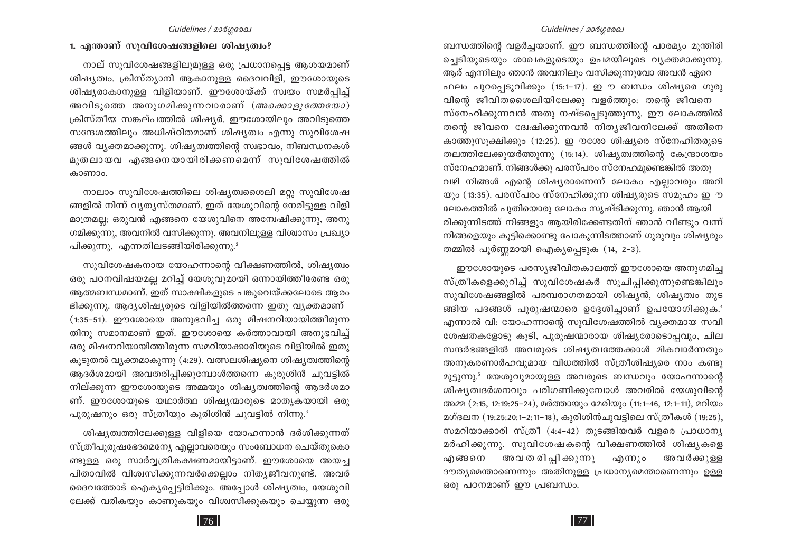#### Guidelines / മാർഗരേഖ

ബന്ധത്തിന്റെ വളർച്ചയാണ്. ഈ ബന്ധത്തിന്റെ പാരമ്യം മുന്തിരി ച്ചെടിയുടെയും ശാഖകളുടെയും ഉപമയിലൂടെ വ്യക്തമാക്കുന്നു. ആര് എന്നിലും ഞാൻ അവനിലും വസിക്കുന്നുവോ അവൻ ഏറെ ഫലം പുറപ്പെടുവിക്കും (15:1-17). ഇൗ ബന്ധം ശിഷ്യരെ ഗുരു വിന്റെ ജീവിതശൈലിയിലേക്കു വളർത്തും: തന്റെ ജീവനെ സ്നേഹിക്കുന്നവൻ അതു നഷ്ടപ്പെടുത്തുന്നു. ഈ ലോകത്തിൽ തന്റെ ജീവനെ ദ്വേഷിക്കുന്നവൻ നിത്യജീവനിലേക്ക് അതിനെ കാത്തുസുക്ഷിക്കും (12:25). ഇൗശോ ശിഷ്യരെ സ്നേഹിതരുടെ തലത്തിലേക്കുയർത്തുന്നു (15:14). ശിഷ്യത്വത്തിന്റെ കേന്ദ്രാശയം സ്നേഹമാണ്. നിങ്ങൾക്കു പരസ്പരം സ്നേഹമുണ്ടെങ്കിൽ അതു വഴി നിങ്ങൾ എന്റെ ശിഷ്യരാണെന്ന് ലോകം എല്ലാവരും അറി യും (13:35). പരസ്പരം സ്നേഹിക്കുന്ന ശിഷ്യരുടെ സമൂഹം ഇൗ ലോകത്തിൽ പുതിയൊരു ലോകം സൃഷ്ടിക്കുന്നു. ഞാൻ ആയി രിക്കുന്നിടത്ത് നിങ്ങളും ആയിരിക്കേണ്ടതിന് ഞാൻ വീണ്ടും വന്ന് നിങ്ങളെയും കൂട്ടിക്കൊണ്ടു പോകുന്നിടത്താണ് ഗുരുവും ശിഷ്യരും

തമ്മിൽ പൂർണ്ണമായി ഐക്യപ്പെടുക (14, 2-3).

ഈശോയുടെ പരസ്യജീവിതകാലത്ത് ഈശോയെ അനുഗമിച്ച സ്ത്രീകളെക്കുറിച്ച് സുവിശേഷകർ സൂചിപ്പിക്കുന്നുണ്ടെങ്കിലും സുവിശേഷങ്ങളിൽ പരമ്പരാഗതമായി ശിഷ്യൻ, ശിഷ്യത്വം തുട ങ്ങിയ പദങ്ങൾ പുരുഷന്മാരെ ഉദ്ദേശിച്ചാണ് ഉപയോഗിക്കുക." എന്നാൽ വി: യോഹന്നാന്റെ സുവിശേഷത്തിൽ വ്യക്തമായ സവി ശേഷതകളോടു കൂടി, പുരുഷന്മാരായ ശിഷ്യരോടൊപ്പവും, ചില സന്ദർഭങ്ങളിൽ അവരുടെ ശിഷ്യത്വത്തേക്കാൾ മികവാർന്നതും അനുകരണാർഹവുമായ വിധത്തിൽ സ്ത്രീശിഷ്യരെ നാം കണ്ടു മുട്ടുന്നു." യേശുവുമായുള്ള അവരുടെ ബന്ധവും യോഹന്നാന്റെ ശിഷ്യത്വദർശനവും പരിഗണിക്കുമ്പോൾ അവരിൽ യേശുവിന്റെ അമ്മ (2:15, 12:19:25-24), മർത്തായും മേരിയും (11:1-46, 12:1-11), മറിയം മഗ്ദലന (19:25:20:1-2:11-18), കുരിശിൻചുവട്ടിലെ സ്ത്രീകൾ (19:25), സമറിയാക്കാരി സ്ത്രീ (4:4-42) തുടങ്ങിയവർ വളരെ പ്രാധാന്യ മർഹിക്കുന്നു. സുവിശേഷകന്റെ വീക്ഷണത്തിൽ ശിഷ്യകളെ എങ്ങനെ അവതരിപ്പിക്കുന്നു എന്നും അവർക്കുള്ള ദൗത്യമെന്താണെന്നും അതിനുള്ള പ്രധാന്യമെന്താണെന്നും ഉള്ള ഒരു പഠനമാണ് ഈ പ്രബന്ധം.

#### 1. എന്താണ് സുവിശേഷങ്ങളിലെ ശിഷ്യത്വം?

നാല് സുവിശേഷങ്ങളിലുമുള്ള ഒരു പ്രധാനപ്പെട്ട ആശയമാണ് ശിഷ്യത്വം. ക്രിസ്ത്യാനി ആകാനുള്ള ദൈവവിളി, ഈശോയുടെ ശിഷ്യരാകാനുള്ള വിളിയാണ്. ഈശോയ്ക്ക് സ്വയം സമർപ്പിച്ച് അവിടുത്തെ അനുഗമിക്കുന്നവാരാണ് (*അക്കൊളുത്തേയോ*) ക്രിസ്തീയ സങ്കല്പത്തിൽ ശിഷ്യർ. ഈശോയിലും അവിടുത്തെ സന്ദേശത്തിലും അധിഷ്ഠിതമാണ് ശിഷ്യത്വം എന്നു സുവിശേഷ ങ്ങൾ വ്യക്തമാക്കുന്നു. ശിഷ്യത്വത്തിന്റെ സ്വഭാവം, നിബന്ധനകൾ മുതലായവ എങ്ങനെയായിരിക്കണമെന്ന് സുവിശേഷത്തിൽ കാണാം.

നാലാം സുവിശേഷത്തിലെ ശിഷ്യത്വശൈലി മറ്റു സുവിശേഷ ങ്ങളിൽ നിന്ന് വ്യത്യസ്തമാണ്. ഇത് യേശുവിന്റെ നേരിട്ടുള്ള വിളി മാത്രമല്ല; ഒരുവൻ എങ്ങനെ യേശുവിനെ അമ്പേഷിക്കുന്നു, അനു ഗമിക്കുന്നു, അവനിൽ വസിക്കുന്നു, അവനിലുള്ള വിശ്വാസം പ്രഖ്യാ പിക്കുന്നു, എന്നതിലടങ്ങിയിരിക്കുന്നു.<sup>2</sup>

സുവിശേഷകനായ യോഹന്നാന്റെ വീക്ഷണത്തിൽ, ശിഷ്യത്വം ഒരു പഠനവിഷയമല്ല മറിച്ച് യേശുവുമായി ഒന്നായിത്തീരേണ്ട ഒരു ആത്മബന്ധമാണ്. ഇത് സാക്ഷികളുടെ പങ്കുവെയ്ക്കലോടെ ആരം ഭിക്കുന്നു. ആദ്യശിഷ്യരുടെ വിളിയിൽത്തന്നെ ഇതു വ്യക്തമാണ്  $(1:35-51)$ . ഈശോയെ അനുഭവിച്ച ഒരു മിഷനറിയായിത്തീരുന്ന തിനു സമാനമാണ് ഇത്. ഈശോയെ കർത്താവായി അനുഭവിച്ച് ഒരു മിഷനറിയായിത്തീരുന്ന സമറിയാക്കാരിയുടെ വിളിയിൽ ഇതു കൂടുതൽ വ്യക്തമാകുന്നു (4:29). വത്സലശിഷ്യനെ ശിഷ്യത്വത്തിന്റെ ആദർശമായി അവതരിപ്പിക്കുമ്പോൾത്തന്നെ കുരുശിൻ ചുവട്ടിൽ നില്ക്കുന്ന ഈശോയുടെ അമ്മയും ശിഷ്യത്വത്തിന്റെ ആദർശമാ ണ്. ഈശോയുടെ യഥാർത്ഥ ശിഷ്യന്മാരുടെ മാതൃകയായി ഒരു പുരുഷനും ഒരു സ്ത്രീയും കുരിശിൻ ചുവട്ടിൽ നിന്നു.

ശിഷ്യത്വത്തിലേക്കുള്ള വിളിയെ യോഹന്നാൻ ദർശിക്കുന്നത് സ്ത്രീപുരുഷഭേദമെന്യേ എല്ലാവരെയും സംബോധന ചെയ്തുകൊ ണ്ടുള്ള ഒരു സാർവ്വത്രികക്ഷണമായിട്ടാണ്. ഈശോയെ അയച്ച പിതാവിൽ വിശ്വസിക്കുന്നവർക്കെല്ലാം നിത്യജീവനുണ്ട്. അവർ ദൈവത്തോട് ഐക്യപ്പെട്ടിരിക്കും. അപ്പോൾ ശിഷ്യത്വം, യേശുവി ലേക്ക് വരികയും കാണുകയും വിശ്വസിക്കുകയും ചെയ്യുന്ന ഒരു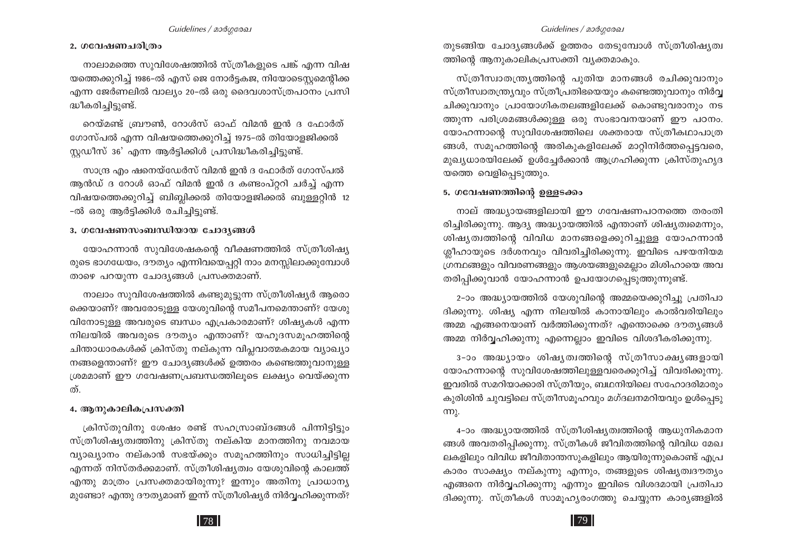#### 2. ഗവേഷണചരിത്രം

നാലാമത്തെ സുവിശേഷത്തിൽ സ്ത്രീകളുടെ പങ്ക് എന്ന വിഷ യത്തെക്കുറിച്ച് 1986–ൽ എസ് ജെ നോർട്ടകജ, നിയോടെസ്റ്റമെന്റിക്ക എന്ന ജേർണലിൽ വാല്യം 20-ൽ ഒരു ദൈവശാസ്ത്രപഠനം പ്രസി ദ്ധീകരിച്ചിട്ടുണ്ട്.

റെയ്മണ്ട് ബ്രൗൺ, റോൾസ് ഓഫ് വിമൻ ഇൻ ദ ഫോർത് ഗോസ്പൽ എന്ന വിഷയത്തെക്കുറിച്ച് 1975-ൽ തിയോളജിക്കൽ സ്കഡീസ് 36' എന്ന ആർട്ടിക്കിൾ പ്രസിദ്ധീകരിച്ചിട്ടുണ്ട്.

സാന്ദ്ര എം ഷനെയ്ഡേർസ് വിമൻ ഇൻ ദ ഫോർത് ഗോസ്പൽ ആൻഡ് ദ റോൾ ഓഫ് വിമൻ ഇൻ ദ കണ്ടംപ്റ്ററി ചർച്ച് എന്ന വിഷയത്തെക്കുറിച്ച് ബിബ്ലിക്കൽ തിയോളജിക്കൽ ബുള്ളറ്റിൻ 12 -ൽ ഒരു ആർട്ടിക്കിൾ രചിച്ചിട്ടുണ്ട്.

#### 3. ഗവേഷണസംബന്ധിയായ ചോദൃങ്ങൾ

യോഹന്നാൻ സുവിശേഷകന്റെ വീക്ഷണത്തിൽ സ്ത്രീശിഷ്യ രുടെ ഭാഗധേയം, ദൗത്യം എന്നിവയെപ്പറ്റി നാം മനസ്സിലാക്കുമ്പോൾ താഴെ പറയുന്ന ചോദൃങ്ങൾ പ്രസക്തമാണ്.

നാലാം സുവിശേഷത്തിൽ കണ്ടുമുട്ടുന്ന സ്ത്രീശിഷ്യർ ആരൊ ക്കെയാണ്? അവരോടുള്ള യേശുവിന്റെ സമീപനമെന്താണ്? യേശു വിനോടുള്ള അവരുടെ ബന്ധം എപ്രകാരമാണ്? ശിഷ്യകൾ എന്ന നിലയിൽ അവരുടെ ദൗത്യം എന്താണ്? യഹുദസമൂഹത്തിന്റെ ചിന്താധാരകൾക്ക് ക്രിസ്തു നല്കുന്ന വിപ്ലവാത്മകമായ വ്യാഖ്യാ നങ്ങളെന്താണ്? ഈ ചോദ്യങ്ങൾക്ക് ഉത്തരം കണ്ടെത്തുവാനുള്ള ശ്രമമാണ് ഈ ഗവേഷണപ്രബന്ധത്തിലൂടെ ലക്ഷ്യം വെയ്ക്കുന്ന ത്.

#### 4. ആനുകാലികപ്രസക്തി

ക്രിസ്തുവിനു ശേഷം രണ്ട് സഹസ്രാബ്ദങ്ങൾ പിന്നിട്ടിട്ടും സ്ത്രീശിഷ്യത്വത്തിനു ക്രിസ്തു നല്കിയ മാനത്തിനു നവമായ വ്യാഖ്യാനം നല്കാൻ സഭയ്ക്കും സമൂഹത്തിനും സാധിച്ചിട്ടില്ല എന്നത് നിസ്തർക്കമാണ്. സ്ത്രീശിഷ്യത്വം യേശുവിന്റെ കാലത്ത് എന്തു മാത്രം പ്രസക്തമായിരുന്നു? ഇന്നും അതിനു പ്രാധാന്യ മുണ്ടോ? എന്തു ദൗത്യമാണ് ഇന്ന് സ്ത്രീശിഷ്യർ നിർവ്വഹിക്കുന്നത്?

തുടങ്ങിയ ചോദ്യങ്ങൾക്ക് ഉത്തരം തേടുമ്പോൾ സ്ത്രീശിഷ്യത്വ ത്തിന്റെ ആനുകാലികപ്രസക്തി വ്യക്തമാകും.

സ്ത്രീസ്വാതന്ത്ര്യത്തിന്റെ പുതിയ മാനങ്ങൾ രചിക്കുവാനും സ്ത്രീസ്വാതന്ത്ര്യവും സ്ത്രീപ്രതിഭയെയും കണ്ടെത്തുവാനും നിർവ്വ ചിക്കുവാനും പ്രായോഗികതലങ്ങളിലേക്ക് കൊണ്ടുവരാനും നട ത്തുന്ന പരിശ്രമങ്ങൾക്കുള്ള ഒരു സംഭാവനയാണ് ഈ പഠനം. യോഹന്നാന്റെ സുവിശേഷത്തിലെ ശക്തരായ സ്ത്രീകഥാപാത്ര ങ്ങൾ, സമൂഹത്തിന്റെ അരികുകളിലേക്ക് മാറ്റിനിർത്തപ്പെട്ടവരെ, മുഖ്യധാരയിലേക്ക് ഉൾച്ചേർക്കാൻ ആഗ്രഹിക്കുന്ന ക്രിസ്തുഹൃദ യത്തെ വെളിപ്പെടുത്തും.

#### 5. ഗവേഷണത്തിന്റെ ഉള്ളടക്കം

നാല് അദ്ധ്യായങ്ങളിലായി ഈ ഗവേഷണപഠനത്തെ തരംതി രിച്ചിരിക്കുന്നു. ആദ്യ അദ്ധ്യായത്തിൽ എന്താണ് ശിഷ്യത്വമെന്നും, ശിഷ്യത്വത്തിന്റെ വിവിധ മാനങ്ങളെക്കുറിച്ചുള്ള യോഹന്നാൻ ശ്ലീഹായുടെ ദർശനവും വിവരിച്ചിരിക്കുന്നു. ഇവിടെ പഴയനിയമ ഗ്രന്ഥങ്ങളും വിവരണങ്ങളും ആശയങ്ങളുമെല്ലാം മിശിഹായെ അവ തരിപ്പിക്കുവാൻ യോഹന്നാൻ ഉപയോഗപ്പെടുത്തുന്നുണ്ട്.

2-ാം അദ്ധ്യായത്തിൽ യേശുവിന്റെ അമ്മയെക്കുറിച്ചു പ്രതിപാ ദിക്കുന്നു. ശിഷ്യ എന്ന നിലയിൽ കാനായിലും കാൽവരിയിലും അമ്മ എങ്ങനെയാണ് വർത്തിക്കുന്നത്? എന്തൊക്കെ ദൗതൃങ്ങൾ അമ്മ നിർവ്വഹിക്കുന്നു എന്നെല്ലാം ഇവിടെ വിശദീകരിക്കുന്നു.

3-ാം അദ്ധ്യായം ശിഷ്യത്വത്തിന്റെ സ്ത്രീസാക്ഷ്യങ്ങളായി യോഹന്നാന്റെ സുവിശേഷത്തിലുള്ളവരെക്കുറിച്ച് വിവരിക്കുന്നു. ഇവരിൽ സമറിയാക്കാരി സ്ത്രീയും, ബഥനിയിലെ സഹോദരിമാരും കുരിശിൻ ചുവട്ടിലെ സ്ത്രീസമൂഹവും മഗ്ദലനമറിയവും ഉൾപ്പെടു (m).

4-ാം അദ്ധ്യായത്തിൽ സ്ത്രീശിഷ്യത്വത്തിന്റെ ആധുനികമാന ങ്ങൾ അവതരിപ്പിക്കുന്നു. സ്ത്രീകൾ ജീവിതത്തിന്റെ വിവിധ മേഖ ലകളിലും വിവിധ ജീവിതാന്തസുകളിലും ആയിരുന്നുകൊണ്ട് എപ്ര കാരം സാക്ഷ്യം നല്കുന്നു എന്നും, തങ്ങളുടെ ശിഷ്യത്വദൗത്യം എങ്ങനെ നിർവ്വഹിക്കുന്നു എന്നും ഇവിടെ വിശദമായി പ്രതിപാ ദിക്കുന്നു. സ്ത്രീകൾ സാമൂഹ്യരംഗത്തു ചെയ്യുന്ന കാര്യങ്ങളിൽ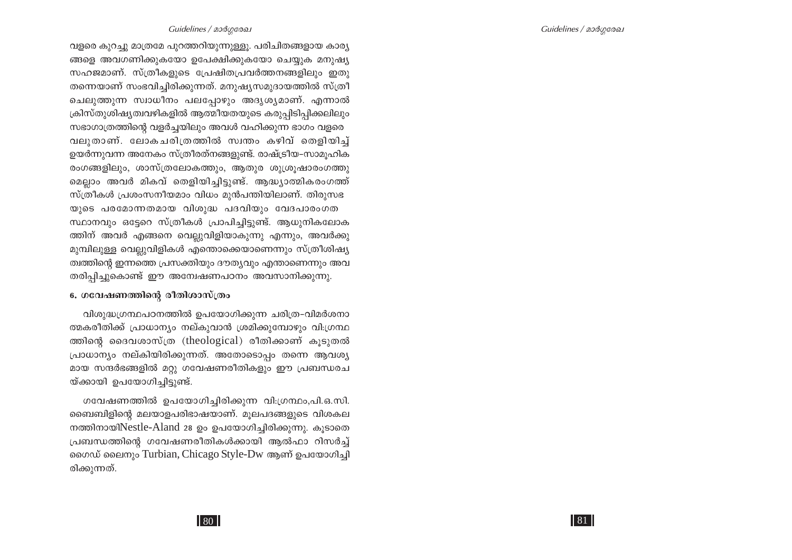#### Guidelines / മാർഗരേഖ

വളരെ കുറച്ചു മാത്രമേ പുറത്തറിയുന്നുള്ളൂ. പരിചിതങ്ങളായ കാര്യ ങ്ങളെ അവഗണിക്കുകയോ ഉപേക്ഷിക്കുകയോ ചെയ്യുക മനുഷ്യ സഹജമാണ്. സ്ത്രീകളുടെ പ്രേഷിതപ്രവർത്തനങ്ങളിലും ഇതു തന്നെയാണ് സംഭവിച്ചിരിക്കുന്നത്. മനുഷ്യസമുദായത്തിൽ സ്ത്രീ ചെലുത്തുന്ന സ്വാധീനം പലപ്പോഴും അദൃശൃമാണ്. എന്നാൽ ക്രിസ്തുശിഷ്യത്വവഴികളിൽ ആത്മീയതയുടെ കരുപ്പിടിപ്പിക്കലിലും സഭാഗാത്രത്തിന്റെ വളർച്ചയിലും അവൾ വഹിക്കുന്ന ഭാഗം വളരെ വലുതാണ്. ലോകചരിത്രത്തിൽ സ്വന്തം കഴിവ് തെളിയിച്ച് ഉയർന്നുവന്ന അനേകം സ്ത്രീരത്നങ്ങളുണ്ട്. രാഷ്ട്രീയ–സാമുഹിക രംഗങ്ങളിലും, ശാസ്ത്രലോകത്തും, ആതുര ശുശ്രുഷാരംഗത്തു മെല്ലാം അവർ മികവ് തെളിയിച്ചിട്ടുണ്ട്. ആദ്ധ്യാത്മികരംഗത്ത് സ്ത്രീകൾ പ്രശംസനീയമാം വിധം മുൻപന്തിയിലാണ്. തിരുസഭ യുടെ പരമോന്നതമായ വിശുദ്ധ പദവിയും വേദപാരംഗത സ്ഥാനവും ഒട്ടേറെ സ്ത്രീകൾ പ്രാപിച്ചിട്ടുണ്ട്. ആധുനികലോക ത്തിന് അവർ എങ്ങനെ വെല്ലുവിളിയാകുന്നു എന്നും, അവർക്കു മുമ്പിലുള്ള വെല്ലുവിളികൾ എന്തൊക്കെയാണെന്നും സ്ത്രീശിഷ്യ ത്വത്തിന്റെ ഇന്നത്തെ പ്രസക്തിയും ദൗത്യവും എന്താണെന്നും അവ തരിപ്പിച്ചുകൊണ്ട് ഈ അന്വേഷണപഠനം അവസാനിക്കുന്നു.

#### 6. ഗവേഷണത്തിന്റെ രീതിശാസ്ത്രം

വിശുദ്ധഗ്രന്ഥപഠനത്തിൽ ഉപയോഗിക്കുന്ന ചരിത്ര-വിമർശനാ ത്മകരീതിക്ക് പ്രാധാന്യം നല്കുവാൻ ശ്രമിക്കുമ്പോഴും വി.ഗ്രന്ഥ ത്തിന്റെ ദൈവശാസ്ത്ര (theological) രീതിക്കാണ് കൂടുതൽ പ്രാധാന്യം നല്കിയിരിക്കുന്നത്. അതോടൊപ്പം തന്നെ ആവശ്യ മായ സന്ദർഭങ്ങളിൽ മറ്റു ഗവേഷണരീതികളും ഈ പ്രബന്ധരച യ്ക്കായി ഉപയോഗിച്ചിട്ടുണ്ട്.

ഗവേഷണത്തിൽ ഉപയോഗിച്ചിരിക്കുന്ന വി:ഗ്രന്ഥം,പി.ഒ.സി. ബൈബിളിന്റെ മലയാളപരിഭാഷയാണ്. മൂലപദങ്ങളുടെ വിശകല നത്തിനായിNestle-Aland 28 ഉം ഉപയോഗിച്ചിരിക്കുന്നു. കൂടാതെ പ്രബന്ധത്തിന്റെ ഗവേഷണരീതികൾക്കായി ആൽഫാ റിസർച്ച് നൈഡ് ലൈനും Turbian, Chicago Style-Dw ആണ് ഉപയോഗിച്ചി രിക്കുന്നത്.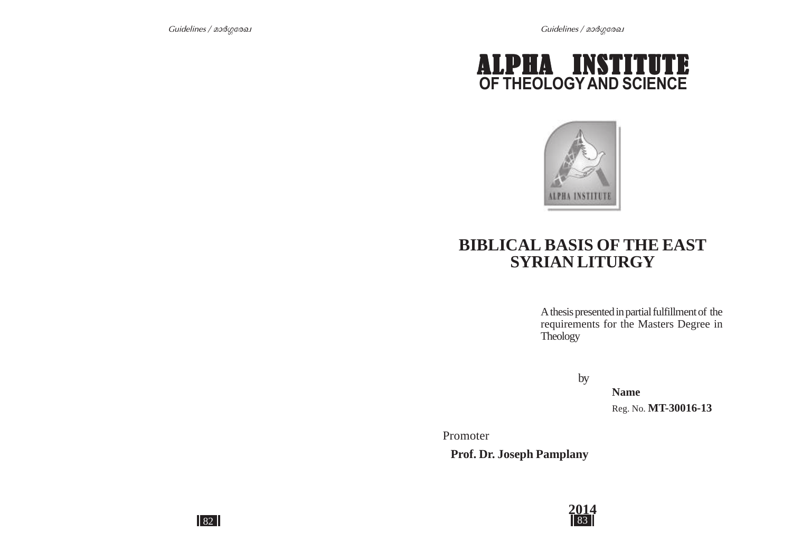



# **BIBLICAL BASIS OF THE EAST SYRIAN LITURGY**

A thesis presented in partial fulfillment of the requirements for the Masters Degree in **Theology** 

by

**Name** Reg. No. **MT-30016-13**

Promoter

 **Prof. Dr. Joseph Pamplany**



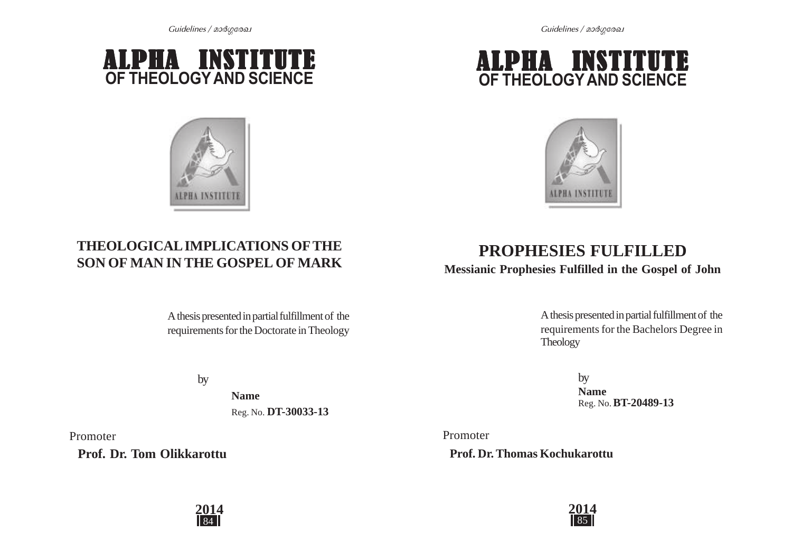



# **OF THEOLOGYAND SCIENCE** ALPHA INSTITUTE



# **THEOLOGICAL IMPLICATIONS OFTHE SON OF MAN IN THE GOSPEL OF MARK**

A thesis presented in partial fulfillment of the requirements for the Doctorate in Theology

by

**Name** Reg. No. **DT-30033-13**

Promoter

 **Prof. Dr. Tom Olikkarottu**

# **2014**

# **PROPHESIES FULFILLED**

**Messianic Prophesies Fulfilled in the Gospel of John**

A thesis presented in partial fulfillment of the requirements for the Bachelors Degree in Theology

> by **Name** Reg. No. **BT-20489-13**

Promoter  **Prof. Dr. Thomas Kochukarottu**